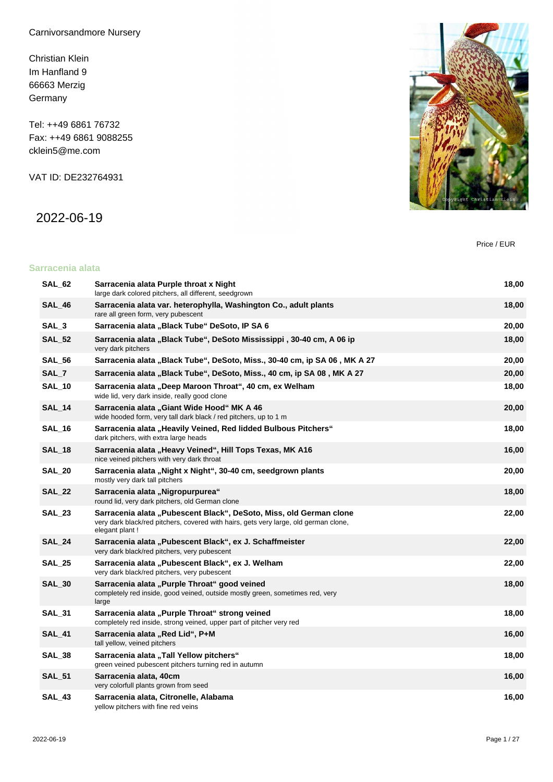Carnivorsandmore Nursery

Christian Klein Im Hanfland 9 66663 Merzig **Germany** 

Tel: ++49 6861 76732 Fax: ++49 6861 9088255 cklein5@me.com

VAT ID: DE232764931

2022-06-19



Price / EUR

#### **Sarracenia alata**

| SAL 62           | Sarracenia alata Purple throat x Night<br>large dark colored pitchers, all different, seedgrown                                                                              | 18,00 |
|------------------|------------------------------------------------------------------------------------------------------------------------------------------------------------------------------|-------|
| <b>SAL_46</b>    | Sarracenia alata var. heterophylla, Washington Co., adult plants<br>rare all green form, very pubescent                                                                      | 18,00 |
| SAL <sub>3</sub> | Sarracenia alata "Black Tube" DeSoto, IP SA 6                                                                                                                                | 20,00 |
| <b>SAL_52</b>    | Sarracenia alata "Black Tube", DeSoto Mississippi, 30-40 cm, A 06 ip<br>very dark pitchers                                                                                   | 18,00 |
| <b>SAL_56</b>    | Sarracenia alata "Black Tube", DeSoto, Miss., 30-40 cm, ip SA 06, MK A 27                                                                                                    | 20,00 |
| SAL_7            | Sarracenia alata "Black Tube", DeSoto, Miss., 40 cm, ip SA 08, MK A 27                                                                                                       | 20,00 |
| <b>SAL_10</b>    | Sarracenia alata "Deep Maroon Throat", 40 cm, ex Welham<br>wide lid, very dark inside, really good clone                                                                     | 18,00 |
| <b>SAL_14</b>    | Sarracenia alata "Giant Wide Hood" MK A 46<br>wide hooded form, very tall dark black / red pitchers, up to 1 m                                                               | 20,00 |
| <b>SAL_16</b>    | Sarracenia alata "Heavily Veined, Red lidded Bulbous Pitchers"<br>dark pitchers, with extra large heads                                                                      | 18,00 |
| <b>SAL_18</b>    | Sarracenia alata "Heavy Veined", Hill Tops Texas, MK A16<br>nice veined pitchers with very dark throat                                                                       | 16,00 |
| <b>SAL_20</b>    | Sarracenia alata "Night x Night", 30-40 cm, seedgrown plants<br>mostly very dark tall pitchers                                                                               | 20,00 |
| <b>SAL 22</b>    | Sarracenia alata "Nigropurpurea"<br>round lid, very dark pitchers, old German clone                                                                                          | 18,00 |
| <b>SAL_23</b>    | Sarracenia alata "Pubescent Black", DeSoto, Miss, old German clone<br>very dark black/red pitchers, covered with hairs, gets very large, old german clone,<br>elegant plant! | 22,00 |
| <b>SAL_24</b>    | Sarracenia alata "Pubescent Black", ex J. Schaffmeister<br>very dark black/red pitchers, very pubescent                                                                      | 22,00 |
| <b>SAL 25</b>    | Sarracenia alata "Pubescent Black", ex J. Welham<br>very dark black/red pitchers, very pubescent                                                                             | 22,00 |
| <b>SAL 30</b>    | Sarracenia alata "Purple Throat" good veined<br>completely red inside, good veined, outside mostly green, sometimes red, very<br>large                                       | 18,00 |
| SAL_31           | Sarracenia alata "Purple Throat" strong veined<br>completely red inside, strong veined, upper part of pitcher very red                                                       | 18,00 |
| SAL_41           | Sarracenia alata "Red Lid", P+M<br>tall yellow, veined pitchers                                                                                                              | 16,00 |
| SAL_38           | Sarracenia alata "Tall Yellow pitchers"<br>green veined pubescent pitchers turning red in autumn                                                                             | 18,00 |
| <b>SAL_51</b>    | Sarracenia alata, 40cm<br>very colorfull plants grown from seed                                                                                                              | 16,00 |
| <b>SAL 43</b>    | Sarracenia alata, Citronelle, Alabama<br>yellow pitchers with fine red veins                                                                                                 | 16,00 |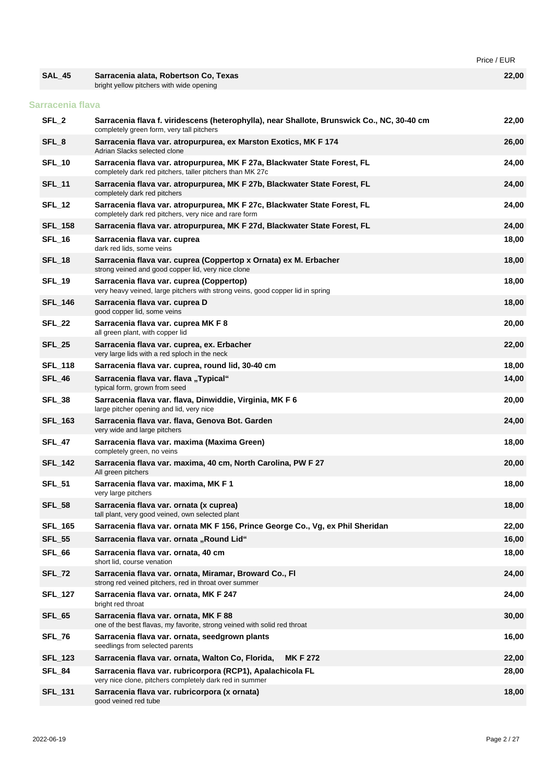|                  |                                                                                                                                         | Price / EUR |
|------------------|-----------------------------------------------------------------------------------------------------------------------------------------|-------------|
| <b>SAL_45</b>    | Sarracenia alata, Robertson Co, Texas<br>bright yellow pitchers with wide opening                                                       | 22,00       |
| Sarracenia flava |                                                                                                                                         |             |
| SFL <sub>2</sub> | Sarracenia flava f. viridescens (heterophylla), near Shallote, Brunswick Co., NC, 30-40 cm<br>completely green form, very tall pitchers | 22,00       |
| SFL_8            | Sarracenia flava var. atropurpurea, ex Marston Exotics, MK F 174<br>Adrian Slacks selected clone                                        | 26,00       |
| <b>SFL_10</b>    | Sarracenia flava var. atropurpurea, MK F 27a, Blackwater State Forest, FL<br>completely dark red pitchers, taller pitchers than MK 27c  | 24,00       |
| <b>SFL_11</b>    | Sarracenia flava var. atropurpurea, MK F 27b, Blackwater State Forest, FL<br>completely dark red pitchers                               | 24,00       |
| <b>SFL_12</b>    | Sarracenia flava var. atropurpurea, MK F 27c, Blackwater State Forest, FL<br>completely dark red pitchers, very nice and rare form      | 24,00       |
| <b>SFL_158</b>   | Sarracenia flava var. atropurpurea, MK F 27d, Blackwater State Forest, FL                                                               | 24,00       |
| <b>SFL_16</b>    | Sarracenia flava var. cuprea<br>dark red lids, some veins                                                                               | 18,00       |
| <b>SFL_18</b>    | Sarracenia flava var. cuprea (Coppertop x Ornata) ex M. Erbacher<br>strong veined and good copper lid, very nice clone                  | 18,00       |
| <b>SFL_19</b>    | Sarracenia flava var. cuprea (Coppertop)<br>very heavy veined, large pitchers with strong veins, good copper lid in spring              | 18,00       |
| <b>SFL 146</b>   | Sarracenia flava var. cuprea D<br>good copper lid, some veins                                                                           | 18,00       |
| SFL_22           | Sarracenia flava var. cuprea MK F 8<br>all green plant, with copper lid                                                                 | 20,00       |
| <b>SFL_25</b>    | Sarracenia flava var. cuprea, ex. Erbacher<br>very large lids with a red sploch in the neck                                             | 22,00       |
| <b>SFL_118</b>   | Sarracenia flava var. cuprea, round lid, 30-40 cm                                                                                       | 18,00       |
| SFL_46           | Sarracenia flava var. flava "Typical"<br>typical form, grown from seed                                                                  | 14,00       |
| <b>SFL_38</b>    | Sarracenia flava var. flava, Dinwiddie, Virginia, MK F 6<br>large pitcher opening and lid, very nice                                    | 20,00       |
| <b>SFL_163</b>   | Sarracenia flava var. flava, Genova Bot. Garden<br>very wide and large pitchers                                                         | 24,00       |
| <b>SFL_47</b>    | Sarracenia flava var. maxima (Maxima Green)<br>completely green, no veins                                                               | 18,00       |
| <b>SFL_142</b>   | Sarracenia flava var. maxima, 40 cm, North Carolina, PW F 27<br>All green pitchers                                                      | 20,00       |
| <b>SFL_51</b>    | Sarracenia flava var. maxima, MK F 1<br>very large pitchers                                                                             | 18,00       |
| <b>SFL_58</b>    | Sarracenia flava var. ornata (x cuprea)<br>tall plant, very good veined, own selected plant                                             | 18,00       |
| <b>SFL 165</b>   | Sarracenia flava var. ornata MK F 156, Prince George Co., Vg, ex Phil Sheridan                                                          | 22,00       |
| <b>SFL_55</b>    | Sarracenia flava var. ornata "Round Lid"                                                                                                | 16,00       |
| SFL_66           | Sarracenia flava var. ornata, 40 cm<br>short lid, course venation                                                                       | 18,00       |
| <b>SFL_72</b>    | Sarracenia flava var. ornata, Miramar, Broward Co., Fl<br>strong red veined pitchers, red in throat over summer                         | 24,00       |
| <b>SFL_127</b>   | Sarracenia flava var. ornata, MK F 247<br>bright red throat                                                                             | 24,00       |
| <b>SFL_65</b>    | Sarracenia flava var. ornata, MK F 88<br>one of the best flavas, my favorite, strong veined with solid red throat                       | 30,00       |
| <b>SFL_76</b>    | Sarracenia flava var. ornata, seedgrown plants<br>seedlings from selected parents                                                       | 16,00       |
| <b>SFL_123</b>   | <b>MKF272</b><br>Sarracenia flava var. ornata, Walton Co, Florida,                                                                      | 22,00       |
| SFL_84           | Sarracenia flava var. rubricorpora (RCP1), Apalachicola FL<br>very nice clone, pitchers completely dark red in summer                   | 28,00       |
| <b>SFL_131</b>   | Sarracenia flava var. rubricorpora (x ornata)<br>good veined red tube                                                                   | 18,00       |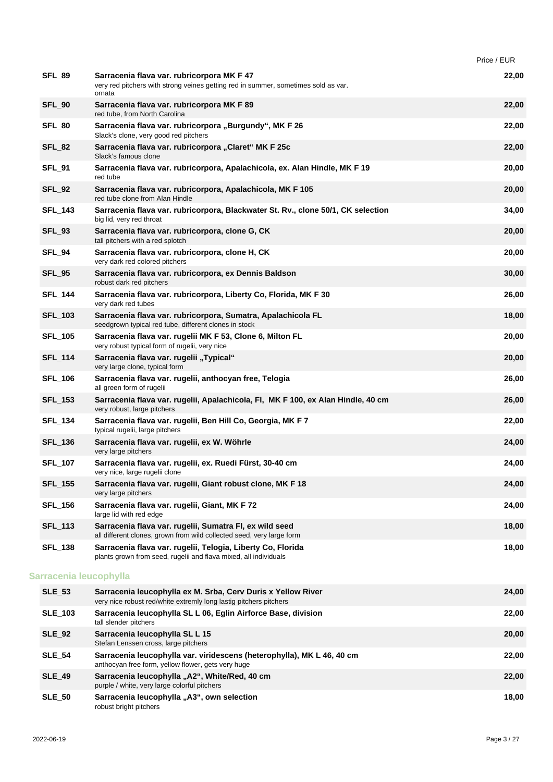|                        |                                                                                                                                            | Price / EUR |
|------------------------|--------------------------------------------------------------------------------------------------------------------------------------------|-------------|
| SFL 89                 | Sarracenia flava var. rubricorpora MK F 47<br>very red pitchers with strong veines getting red in summer, sometimes sold as var.<br>ornata | 22,00       |
| <b>SFL_90</b>          | Sarracenia flava var. rubricorpora MK F 89<br>red tube, from North Carolina                                                                | 22,00       |
| SFL_80                 | Sarracenia flava var. rubricorpora "Burgundy", MK F 26<br>Slack's clone, very good red pitchers                                            | 22,00       |
| SFL 82                 | Sarracenia flava var. rubricorpora "Claret" MK F 25c<br>Slack's famous clone                                                               | 22,00       |
| <b>SFL_91</b>          | Sarracenia flava var. rubricorpora, Apalachicola, ex. Alan Hindle, MK F 19<br>red tube                                                     | 20,00       |
| <b>SFL_92</b>          | Sarracenia flava var. rubricorpora, Apalachicola, MK F 105<br>red tube clone from Alan Hindle                                              | 20,00       |
| <b>SFL_143</b>         | Sarracenia flava var. rubricorpora, Blackwater St. Rv., clone 50/1, CK selection<br>big lid, very red throat                               | 34,00       |
| <b>SFL_93</b>          | Sarracenia flava var. rubricorpora, clone G, CK<br>tall pitchers with a red splotch                                                        | 20,00       |
| SFL_94                 | Sarracenia flava var. rubricorpora, clone H, CK<br>very dark red colored pitchers                                                          | 20,00       |
| <b>SFL_95</b>          | Sarracenia flava var. rubricorpora, ex Dennis Baldson<br>robust dark red pitchers                                                          | 30,00       |
| <b>SFL_144</b>         | Sarracenia flava var. rubricorpora, Liberty Co, Florida, MK F 30<br>very dark red tubes                                                    | 26,00       |
| <b>SFL_103</b>         | Sarracenia flava var. rubricorpora, Sumatra, Apalachicola FL<br>seedgrown typical red tube, different clones in stock                      | 18,00       |
| <b>SFL_105</b>         | Sarracenia flava var. rugelii MK F 53, Clone 6, Milton FL<br>very robust typical form of rugelii, very nice                                | 20,00       |
| <b>SFL_114</b>         | Sarracenia flava var. rugelii "Typical"<br>very large clone, typical form                                                                  | 20,00       |
| <b>SFL_106</b>         | Sarracenia flava var. rugelii, anthocyan free, Telogia<br>all green form of rugelii                                                        | 26,00       |
| <b>SFL_153</b>         | Sarracenia flava var. rugelii, Apalachicola, Fl, MK F 100, ex Alan Hindle, 40 cm<br>very robust, large pitchers                            | 26,00       |
| <b>SFL_134</b>         | Sarracenia flava var. rugelii, Ben Hill Co, Georgia, MK F 7<br>typical rugelii, large pitchers                                             | 22,00       |
| <b>SFL_136</b>         | Sarracenia flava var. rugelii, ex W. Wöhrle<br>very large pitchers                                                                         | 24,00       |
| <b>SFL_107</b>         | Sarracenia flava var. rugelii, ex. Ruedi Fürst, 30-40 cm<br>very nice, large rugelii clone                                                 | 24,00       |
| <b>SFL_155</b>         | Sarracenia flava var. rugelii, Giant robust clone, MK F 18<br>very large pitchers                                                          | 24,00       |
| <b>SFL_156</b>         | Sarracenia flava var. rugelii, Giant, MK F 72<br>large lid with red edge                                                                   | 24,00       |
| <b>SFL_113</b>         | Sarracenia flava var. rugelii, Sumatra FI, ex wild seed<br>all different clones, grown from wild collected seed, very large form           | 18,00       |
| <b>SFL_138</b>         | Sarracenia flava var. rugelii, Telogia, Liberty Co, Florida<br>plants grown from seed, rugelii and flava mixed, all individuals            | 18,00       |
| Sarracenia leucophylla |                                                                                                                                            |             |
| <b>SLE_53</b>          | Sarracenia leucophylla ex M. Srba, Cerv Duris x Yellow River<br>very nice robust red/white extremly long lastig pitchers pitchers          | 24,00       |
| <b>SLE_103</b>         | Sarracenia leucophylla SL L 06, Eglin Airforce Base, division<br>tall slender pitchers                                                     | 22,00       |
| <b>SLE_92</b>          | Sarracenia leucophylla SL L 15<br>Stefan Lenssen cross, large pitchers                                                                     | 20,00       |
| <b>SLE_54</b>          | Sarracenia leucophylla var. viridescens (heterophylla), MK L 46, 40 cm<br>anthocyan free form, yellow flower, gets very huge               | 22,00       |
| <b>SLE_49</b>          | Sarracenia leucophylla "A2", White/Red, 40 cm<br>purple / white, very large colorful pitchers                                              | 22,00       |
| <b>SLE_50</b>          | Sarracenia leucophylla "A3", own selection<br>robust bright pitchers                                                                       | 18,00       |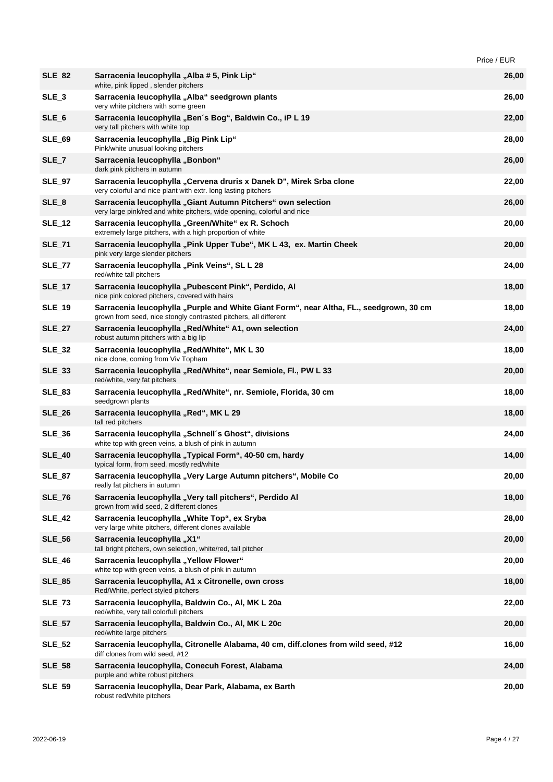|                  |                                                                                                                                                             | Price / EUR |
|------------------|-------------------------------------------------------------------------------------------------------------------------------------------------------------|-------------|
| <b>SLE_82</b>    | Sarracenia leucophylla "Alba # 5, Pink Lip"<br>white, pink lipped, slender pitchers                                                                         | 26,00       |
| $SLE_3$          | Sarracenia leucophylla "Alba" seedgrown plants<br>very white pitchers with some green                                                                       | 26,00       |
| SLE <sub>6</sub> | Sarracenia leucophylla "Ben's Bog", Baldwin Co., iP L 19<br>very tall pitchers with white top                                                               | 22,00       |
| <b>SLE_69</b>    | Sarracenia leucophylla "Big Pink Lip"<br>Pink/white unusual looking pitchers                                                                                | 28,00       |
| SLE_7            | Sarracenia leucophylla "Bonbon"<br>dark pink pitchers in autumn                                                                                             | 26,00       |
| <b>SLE_97</b>    | Sarracenia leucophylla "Cervena druris x Danek D", Mirek Srba clone<br>very colorful and nice plant with extr. long lasting pitchers                        | 22,00       |
| SLE <sub>8</sub> | Sarracenia leucophylla "Giant Autumn Pitchers" own selection<br>very large pink/red and white pitchers, wide opening, colorful and nice                     | 26,00       |
| <b>SLE_12</b>    | Sarracenia leucophylla "Green/White" ex R. Schoch<br>extremely large pitchers, with a high proportion of white                                              | 20,00       |
| <b>SLE_71</b>    | Sarracenia leucophylla "Pink Upper Tube", MK L 43, ex. Martin Cheek<br>pink very large slender pitchers                                                     | 20,00       |
| <b>SLE_77</b>    | Sarracenia leucophylla "Pink Veins", SL L 28<br>red/white tall pitchers                                                                                     | 24,00       |
| <b>SLE_17</b>    | Sarracenia leucophylla "Pubescent Pink", Perdido, Al<br>nice pink colored pitchers, covered with hairs                                                      | 18,00       |
| <b>SLE_19</b>    | Sarracenia leucophylla "Purple and White Giant Form", near Altha, FL., seedgrown, 30 cm<br>grown from seed, nice stongly contrasted pitchers, all different | 18,00       |
| <b>SLE 27</b>    | Sarracenia leucophylla "Red/White" A1, own selection<br>robust autumn pitchers with a big lip                                                               | 24,00       |
| <b>SLE_32</b>    | Sarracenia leucophylla "Red/White", MK L 30<br>nice clone, coming from Viv Topham                                                                           | 18,00       |
| <b>SLE_33</b>    | Sarracenia leucophylla "Red/White", near Semiole, Fl., PW L 33<br>red/white, very fat pitchers                                                              | 20,00       |
| <b>SLE_83</b>    | Sarracenia leucophylla "Red/White", nr. Semiole, Florida, 30 cm<br>seedgrown plants                                                                         | 18,00       |
| <b>SLE 26</b>    | Sarracenia leucophylla "Red", MK L 29<br>tall red pitchers                                                                                                  | 18,00       |
| $SLE_36$         | Sarracenia leucophylla "Schnell's Ghost", divisions<br>white top with green veins, a blush of pink in autumn                                                | 24,00       |
| <b>SLE 40</b>    | Sarracenia leucophylla "Typical Form", 40-50 cm, hardy<br>typical form, from seed, mostly red/white                                                         | 14,00       |
| <b>SLE 87</b>    | Sarracenia leucophylla "Very Large Autumn pitchers", Mobile Co<br>really fat pitchers in autumn                                                             | 20,00       |
| <b>SLE_76</b>    | Sarracenia leucophylla "Very tall pitchers", Perdido Al<br>grown from wild seed, 2 different clones                                                         | 18,00       |
| <b>SLE_42</b>    | Sarracenia leucophylla "White Top", ex Sryba<br>very large white pitchers, different clones available                                                       | 28,00       |
| <b>SLE_56</b>    | Sarracenia leucophylla "X1"<br>tall bright pitchers, own selection, white/red, tall pitcher                                                                 | 20,00       |
| <b>SLE_46</b>    | Sarracenia leucophylla "Yellow Flower"<br>white top with green veins, a blush of pink in autumn                                                             | 20,00       |
| <b>SLE 85</b>    | Sarracenia leucophylla, A1 x Citronelle, own cross<br>Red/White, perfect styled pitchers                                                                    | 18,00       |
| <b>SLE_73</b>    | Sarracenia leucophylla, Baldwin Co., Al, MK L 20a<br>red/white, very tall colorfull pitchers                                                                | 22,00       |
| <b>SLE_57</b>    | Sarracenia leucophylla, Baldwin Co., AI, MK L 20c<br>red/white large pitchers                                                                               | 20,00       |
| <b>SLE_52</b>    | Sarracenia leucophylla, Citronelle Alabama, 40 cm, diff.clones from wild seed, #12<br>diff clones from wild seed, #12                                       | 16,00       |
| <b>SLE_58</b>    | Sarracenia leucophylla, Conecuh Forest, Alabama<br>purple and white robust pitchers                                                                         | 24,00       |
| <b>SLE_59</b>    | Sarracenia leucophylla, Dear Park, Alabama, ex Barth<br>robust red/white pitchers                                                                           | 20,00       |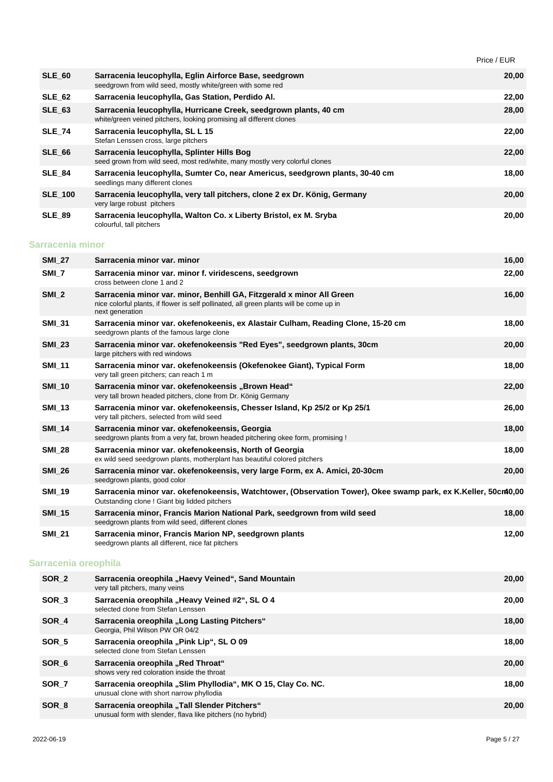|                  |                                                                                                                                                                                     | Price / EUR |       |
|------------------|-------------------------------------------------------------------------------------------------------------------------------------------------------------------------------------|-------------|-------|
| <b>SLE 60</b>    | Sarracenia leucophylla, Eglin Airforce Base, seedgrown<br>seedgrown from wild seed, mostly white/green with some red                                                                |             | 20,00 |
| <b>SLE_62</b>    | Sarracenia leucophylla, Gas Station, Perdido Al.                                                                                                                                    |             | 22,00 |
| <b>SLE_63</b>    | Sarracenia leucophylla, Hurricane Creek, seedgrown plants, 40 cm<br>white/green veined pitchers, looking promising all different clones                                             |             | 28,00 |
| <b>SLE 74</b>    | Sarracenia leucophylla, SL L 15<br>Stefan Lenssen cross, large pitchers                                                                                                             |             | 22,00 |
| <b>SLE 66</b>    | Sarracenia leucophylla, Splinter Hills Bog<br>seed grown from wild seed, most red/white, many mostly very colorful clones                                                           |             | 22,00 |
| <b>SLE 84</b>    | Sarracenia leucophylla, Sumter Co, near Americus, seedgrown plants, 30-40 cm<br>seedlings many different clones                                                                     |             | 18,00 |
| <b>SLE_100</b>   | Sarracenia leucophylla, very tall pitchers, clone 2 ex Dr. König, Germany<br>very large robust pitchers                                                                             |             | 20,00 |
| <b>SLE_89</b>    | Sarracenia leucophylla, Walton Co. x Liberty Bristol, ex M. Sryba<br>colourful, tall pitchers                                                                                       |             | 20,00 |
| Sarracenia minor |                                                                                                                                                                                     |             |       |
| <b>SMI 27</b>    | Sarracenia minor var. minor                                                                                                                                                         |             | 16,00 |
| SMI_7            | Sarracenia minor var. minor f. viridescens, seedgrown<br>cross between clone 1 and 2                                                                                                |             | 22,00 |
| $SMI_2$          | Sarracenia minor var. minor, Benhill GA, Fitzgerald x minor All Green<br>nice colorful plants, if flower is self pollinated, all green plants will be come up in<br>next generation |             | 16,00 |
| <b>SMI_31</b>    | Sarracenia minor var. okefenokeenis, ex Alastair Culham, Reading Clone, 15-20 cm<br>seedgrown plants of the famous large clone                                                      |             | 18,00 |
| <b>SMI_23</b>    | Sarracenia minor var. okefenokeensis "Red Eyes", seedgrown plants, 30cm<br>large pitchers with red windows                                                                          |             | 20,00 |
| <b>SMI 11</b>    | Sarracenia minor var. okefenokeensis (Okefenokee Giant), Typical Form<br>very tall green pitchers; can reach 1 m                                                                    |             | 18,00 |
| <b>SMI_10</b>    | Sarracenia minor var. okefenokeensis "Brown Head"<br>very tall brown headed pitchers, clone from Dr. König Germany                                                                  |             | 22,00 |
| <b>SMI 13</b>    | Sarracenia minor var. okefenokeensis, Chesser Island, Kp 25/2 or Kp 25/1<br>very tall pitchers, selected from wild seed                                                             |             | 26,00 |
| <b>SMI_14</b>    | Sarracenia minor var. okefenokeensis, Georgia<br>seedgrown plants from a very fat, brown headed pitchering okee form, promising !                                                   |             | 18,00 |
| <b>SMI_28</b>    | Sarracenia minor var. okefenokeensis, North of Georgia<br>ex wild seed seedgrown plants, motherplant has beautiful colored pitchers                                                 |             | 18,00 |
| <b>SMI 26</b>    | Sarracenia minor var. okefenokeensis, very large Form, ex A. Amici, 20-30cm<br>seedgrown plants, good color                                                                         |             | 20,00 |
|                  |                                                                                                                                                                                     |             |       |

| <b>SMI 19</b> | Sarracenia minor var. okefenokeensis, Watchtower, (Observation Tower), Okee swamp park, ex K.Keller, 50cm40,00<br>Outstanding clone ! Giant big lidded pitchers |       |
|---------------|-----------------------------------------------------------------------------------------------------------------------------------------------------------------|-------|
| <b>SMI 15</b> | Sarracenia minor, Francis Marion National Park, seedgrown from wild seed                                                                                        | 18.00 |

|               | seedgrown plants from wild seed, different clones                                                          |       |
|---------------|------------------------------------------------------------------------------------------------------------|-------|
| <b>SMI 21</b> | Sarracenia minor, Francis Marion NP, seedgrown plants<br>seedgrown plants all different, nice fat pitchers | 12.00 |

### **Sarracenia oreophila**

| SOR <sub>2</sub> | Sarracenia oreophila "Haevy Veined", Sand Mountain<br>very tall pitchers, many veins                       | 20,00 |
|------------------|------------------------------------------------------------------------------------------------------------|-------|
| SOR <sub>3</sub> | Sarracenia oreophila "Heavy Veined #2", SL O 4<br>selected clone from Stefan Lenssen                       | 20,00 |
| SOR 4            | Sarracenia oreophila "Long Lasting Pitchers"<br>Georgia, Phil Wilson PW OR 04/2                            | 18,00 |
| SOR 5            | Sarracenia oreophila "Pink Lip", SL O 09<br>selected clone from Stefan Lenssen                             | 18,00 |
| SOR 6            | Sarracenia oreophila "Red Throat"<br>shows very red coloration inside the throat                           | 20,00 |
| SOR <sub>7</sub> | Sarracenia oreophila "Slim Phyllodia", MK O 15, Clay Co. NC.<br>unusual clone with short narrow phyllodia  | 18,00 |
| SOR 8            | Sarracenia oreophila "Tall Slender Pitchers"<br>unusual form with slender, flava like pitchers (no hybrid) | 20,00 |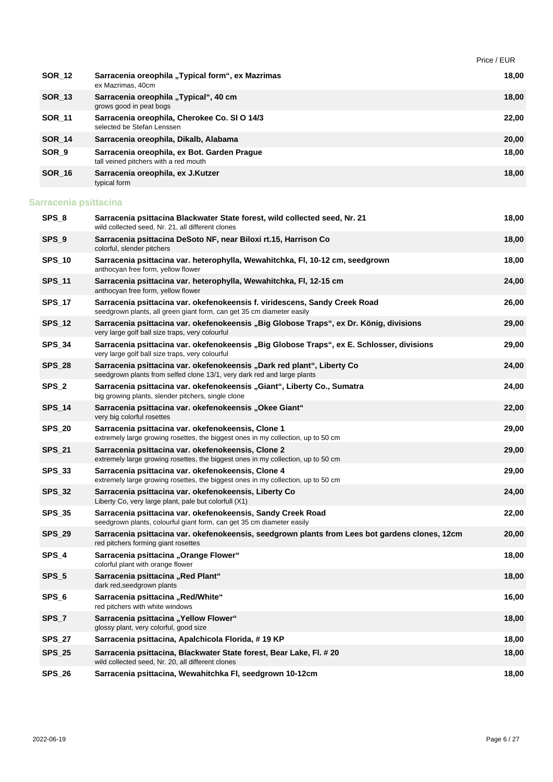|                       |                                                                                                                                                     | Price / EUR |
|-----------------------|-----------------------------------------------------------------------------------------------------------------------------------------------------|-------------|
| <b>SOR_12</b>         | Sarracenia oreophila "Typical form", ex Mazrimas<br>ex Mazrimas, 40cm                                                                               | 18,00       |
| <b>SOR_13</b>         | Sarracenia oreophila "Typical", 40 cm<br>grows good in peat bogs                                                                                    | 18,00       |
| <b>SOR_11</b>         | Sarracenia oreophila, Cherokee Co. SI O 14/3<br>selected be Stefan Lenssen                                                                          | 22,00       |
| <b>SOR_14</b>         | Sarracenia oreophila, Dikalb, Alabama                                                                                                               | 20,00       |
| SOR <sub>_9</sub>     | Sarracenia oreophila, ex Bot. Garden Prague<br>tall veined pitchers with a red mouth                                                                | 18,00       |
| <b>SOR_16</b>         | Sarracenia oreophila, ex J.Kutzer<br>typical form                                                                                                   | 18,00       |
| Sarracenia psittacina |                                                                                                                                                     |             |
| SPS_8                 | Sarracenia psittacina Blackwater State forest, wild collected seed, Nr. 21<br>wild collected seed, Nr. 21, all different clones                     | 18,00       |
| SPS_9                 | Sarracenia psittacina DeSoto NF, near Biloxi rt.15, Harrison Co<br>colorful, slender pitchers                                                       | 18,00       |
| <b>SPS_10</b>         | Sarracenia psittacina var. heterophylla, Wewahitchka, FI, 10-12 cm, seedgrown<br>anthocyan free form, yellow flower                                 | 18,00       |
| <b>SPS_11</b>         | Sarracenia psittacina var. heterophylla, Wewahitchka, FI, 12-15 cm<br>anthocyan free form, yellow flower                                            | 24,00       |
| <b>SPS_17</b>         | Sarracenia psittacina var. okefenokeensis f. viridescens, Sandy Creek Road<br>seedgrown plants, all green giant form, can get 35 cm diameter easily | 26,00       |
| <b>SPS_12</b>         | Sarracenia psittacina var. okefenokeensis "Big Globose Traps", ex Dr. König, divisions<br>very large golf ball size traps, very colourful           | 29,00       |
| <b>SPS_34</b>         | Sarracenia psittacina var. okefenokeensis "Big Globose Traps", ex E. Schlosser, divisions<br>very large golf ball size traps, very colourful        | 29,00       |
| <b>SPS_28</b>         | Sarracenia psittacina var. okefenokeensis "Dark red plant", Liberty Co<br>seedgrown plants from selfed clone 13/1, very dark red and large plants   | 24,00       |
| SPS_2                 | Sarracenia psittacina var. okefenokeensis "Giant", Liberty Co., Sumatra<br>big growing plants, slender pitchers, single clone                       | 24,00       |
| <b>SPS_14</b>         | Sarracenia psittacina var. okefenokeensis "Okee Giant"<br>very big colorful rosettes                                                                | 22,00       |
| <b>SPS_20</b>         | Sarracenia psittacina var. okefenokeensis, Clone 1<br>extremely large growing rosettes, the biggest ones in my collection, up to 50 cm              | 29,00       |
| <b>SPS_21</b>         | Sarracenia psittacina var. okefenokeensis, Clone 2<br>extremely large growing rosettes, the biggest ones in my collection, up to 50 cm              | 29,00       |
| SPS_33                | Sarracenia psittacina var. okefenokeensis, Clone 4<br>extremely large growing rosettes, the biggest ones in my collection, up to 50 cm              | 29,00       |
| <b>SPS_32</b>         | Sarracenia psittacina var. okefenokeensis, Liberty Co<br>Liberty Co, very large plant, pale but colorfull (X1)                                      | 24,00       |
| <b>SPS_35</b>         | Sarracenia psittacina var. okefenokeensis, Sandy Creek Road<br>seedgrown plants, colourful giant form, can get 35 cm diameter easily                | 22,00       |
| <b>SPS_29</b>         | Sarracenia psittacina var. okefenokeensis, seedgrown plants from Lees bot gardens clones, 12cm<br>red pitchers forming giant rosettes               | 20,00       |
| SPS_4                 | Sarracenia psittacina "Orange Flower"<br>colorful plant with orange flower                                                                          | 18,00       |
| $SPS_5$               | Sarracenia psittacina "Red Plant"<br>dark red, seedgrown plants                                                                                     | 18,00       |
| SPS_6                 | Sarracenia psittacina "Red/White"<br>red pitchers with white windows                                                                                | 16,00       |
| SPS_7                 | Sarracenia psittacina "Yellow Flower"<br>glossy plant, very colorful, good size                                                                     | 18,00       |
| <b>SPS_27</b>         | Sarracenia psittacina, Apalchicola Florida, #19 KP                                                                                                  | 18,00       |
| <b>SPS_25</b>         | Sarracenia psittacina, Blackwater State forest, Bear Lake, Fl. # 20<br>wild collected seed, Nr. 20, all different clones                            | 18,00       |
| <b>SPS_26</b>         | Sarracenia psittacina, Wewahitchka FI, seedgrown 10-12cm                                                                                            | 18,00       |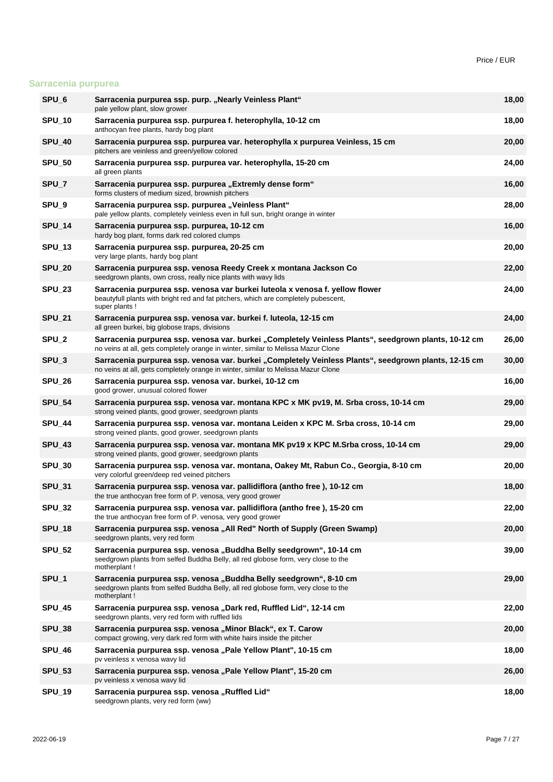### **Sarracenia purpurea**

| SPU_6             | Sarracenia purpurea ssp. purp. "Nearly Veinless Plant"<br>pale yellow plant, slow grower                                                                                                  | 18,00 |
|-------------------|-------------------------------------------------------------------------------------------------------------------------------------------------------------------------------------------|-------|
| <b>SPU_10</b>     | Sarracenia purpurea ssp. purpurea f. heterophylla, 10-12 cm<br>anthocyan free plants, hardy bog plant                                                                                     | 18,00 |
| <b>SPU_40</b>     | Sarracenia purpurea ssp. purpurea var. heterophylla x purpurea Veinless, 15 cm<br>pitchers are veinless and green/yellow colored                                                          | 20,00 |
| <b>SPU_50</b>     | Sarracenia purpurea ssp. purpurea var. heterophylla, 15-20 cm<br>all green plants                                                                                                         | 24,00 |
| SPU_7             | Sarracenia purpurea ssp. purpurea "Extremly dense form"<br>forms clusters of medium sized, brownish pitchers                                                                              | 16,00 |
| SPU_9             | Sarracenia purpurea ssp. purpurea "Veinless Plant"<br>pale yellow plants, completely veinless even in full sun, bright orange in winter                                                   | 28,00 |
| <b>SPU_14</b>     | Sarracenia purpurea ssp. purpurea, 10-12 cm<br>hardy bog plant, forms dark red colored clumps                                                                                             | 16,00 |
| <b>SPU_13</b>     | Sarracenia purpurea ssp. purpurea, 20-25 cm<br>very large plants, hardy bog plant                                                                                                         | 20,00 |
| <b>SPU_20</b>     | Sarracenia purpurea ssp. venosa Reedy Creek x montana Jackson Co<br>seedgrown plants, own cross, really nice plants with wavy lids                                                        | 22,00 |
| <b>SPU_23</b>     | Sarracenia purpurea ssp. venosa var burkei luteola x venosa f. yellow flower<br>beautyfull plants with bright red and fat pitchers, which are completely pubescent,<br>super plants !     | 24,00 |
| <b>SPU_21</b>     | Sarracenia purpurea ssp. venosa var. burkei f. luteola, 12-15 cm<br>all green burkei, big globose traps, divisions                                                                        | 24,00 |
| SPU_2             | Sarracenia purpurea ssp. venosa var. burkei "Completely Veinless Plants", seedgrown plants, 10-12 cm<br>no veins at all, gets completely orange in winter, similar to Melissa Mazur Clone | 26,00 |
| SPU <sub>_3</sub> | Sarracenia purpurea ssp. venosa var. burkei "Completely Veinless Plants", seedgrown plants, 12-15 cm<br>no veins at all, gets completely orange in winter, similar to Melissa Mazur Clone | 30,00 |
| <b>SPU_26</b>     | Sarracenia purpurea ssp. venosa var. burkei, 10-12 cm<br>good grower, unusual colored flower                                                                                              | 16,00 |
| <b>SPU_54</b>     | Sarracenia purpurea ssp. venosa var. montana KPC x MK pv19, M. Srba cross, 10-14 cm<br>strong veined plants, good grower, seedgrown plants                                                | 29,00 |
| <b>SPU_44</b>     | Sarracenia purpurea ssp. venosa var. montana Leiden x KPC M. Srba cross, 10-14 cm<br>strong veined plants, good grower, seedgrown plants                                                  | 29,00 |
| <b>SPU_43</b>     | Sarracenia purpurea ssp. venosa var. montana MK pv19 x KPC M.Srba cross, 10-14 cm<br>strong veined plants, good grower, seedgrown plants                                                  | 29,00 |
| <b>SPU_30</b>     | Sarracenia purpurea ssp. venosa var. montana, Oakey Mt, Rabun Co., Georgia, 8-10 cm<br>very colorful green/deep red veined pitchers                                                       | 20,00 |
| <b>SPU_31</b>     | Sarracenia purpurea ssp. venosa var. pallidiflora (antho free), 10-12 cm<br>the true anthocyan free form of P. venosa, very good grower                                                   | 18,00 |
| <b>SPU_32</b>     | Sarracenia purpurea ssp. venosa var. pallidiflora (antho free), 15-20 cm<br>the true anthocyan free form of P. venosa, very good grower                                                   | 22,00 |
| <b>SPU_18</b>     | Sarracenia purpurea ssp. venosa "All Red" North of Supply (Green Swamp)<br>seedgrown plants, very red form                                                                                | 20,00 |
| <b>SPU_52</b>     | Sarracenia purpurea ssp. venosa "Buddha Belly seedgrown", 10-14 cm<br>seedgrown plants from selfed Buddha Belly, all red globose form, very close to the<br>motherplant!                  | 39,00 |
| SPU_1             | Sarracenia purpurea ssp. venosa "Buddha Belly seedgrown", 8-10 cm<br>seedgrown plants from selfed Buddha Belly, all red globose form, very close to the<br>motherplant!                   | 29,00 |
| <b>SPU_45</b>     | Sarracenia purpurea ssp. venosa "Dark red, Ruffled Lid", 12-14 cm<br>seedgrown plants, very red form with ruffled lids                                                                    | 22,00 |
| <b>SPU_38</b>     | Sarracenia purpurea ssp. venosa "Minor Black", ex T. Carow<br>compact growing, very dark red form with white hairs inside the pitcher                                                     | 20,00 |
| <b>SPU_46</b>     | Sarracenia purpurea ssp. venosa "Pale Yellow Plant", 10-15 cm<br>pv veinless x venosa wavy lid                                                                                            | 18,00 |
| <b>SPU_53</b>     | Sarracenia purpurea ssp. venosa "Pale Yellow Plant", 15-20 cm<br>pv veinless x venosa wavy lid                                                                                            | 26,00 |
| <b>SPU_19</b>     | Sarracenia purpurea ssp. venosa "Ruffled Lid"<br>seedgrown plants, very red form (ww)                                                                                                     | 18,00 |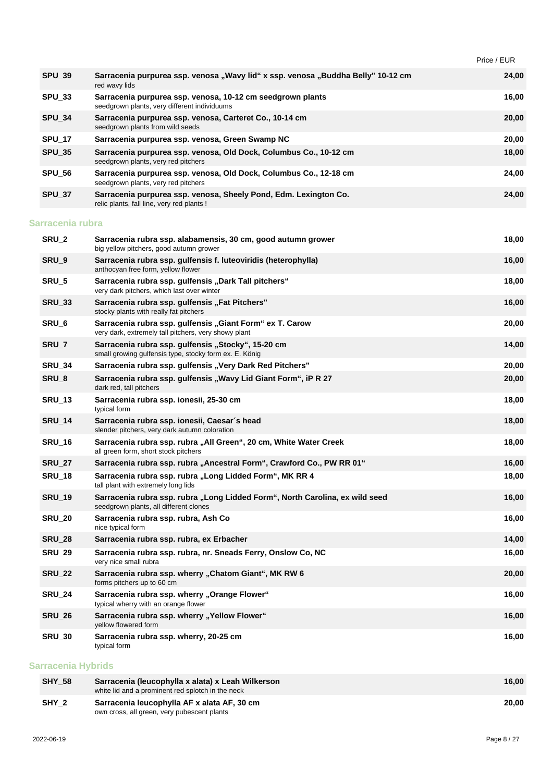Price / EUR

| <b>SPU_39</b>     | Sarracenia purpurea ssp. venosa "Wavy lid" x ssp. venosa "Buddha Belly" 10-12 cm<br>red wavy lids                      | 24,00 |
|-------------------|------------------------------------------------------------------------------------------------------------------------|-------|
| <b>SPU_33</b>     | Sarracenia purpurea ssp. venosa, 10-12 cm seedgrown plants<br>seedgrown plants, very different individuums             | 16,00 |
| <b>SPU 34</b>     | Sarracenia purpurea ssp. venosa, Carteret Co., 10-14 cm<br>seedgrown plants from wild seeds                            | 20,00 |
| <b>SPU_17</b>     | Sarracenia purpurea ssp. venosa, Green Swamp NC                                                                        | 20,00 |
| <b>SPU_35</b>     | Sarracenia purpurea ssp. venosa, Old Dock, Columbus Co., 10-12 cm<br>seedgrown plants, very red pitchers               | 18,00 |
| <b>SPU 56</b>     | Sarracenia purpurea ssp. venosa, Old Dock, Columbus Co., 12-18 cm<br>seedgrown plants, very red pitchers               | 24,00 |
| <b>SPU_37</b>     | Sarracenia purpurea ssp. venosa, Sheely Pond, Edm. Lexington Co.<br>relic plants, fall line, very red plants !         | 24,00 |
| Sarracenia rubra  |                                                                                                                        |       |
| SRU <sub>_2</sub> | Sarracenia rubra ssp. alabamensis, 30 cm, good autumn grower<br>big yellow pitchers, good autumn grower                | 18,00 |
| SRU <sub>9</sub>  | Sarracenia rubra ssp. gulfensis f. luteoviridis (heterophylla)<br>anthocyan free form, yellow flower                   | 16,00 |
| SRU <sub>5</sub>  | Sarracenia rubra ssp. gulfensis "Dark Tall pitchers"<br>very dark pitchers, which last over winter                     | 18,00 |
| <b>SRU_33</b>     | Sarracenia rubra ssp. gulfensis "Fat Pitchers"<br>stocky plants with really fat pitchers                               | 16,00 |
| SRU <sub>6</sub>  | Sarracenia rubra ssp. gulfensis "Giant Form" ex T. Carow<br>very dark, extremely tall pitchers, very showy plant       | 20,00 |
| SRU <sub>_7</sub> | Sarracenia rubra ssp. gulfensis "Stocky", 15-20 cm<br>small growing gulfensis type, stocky form ex. E. König           | 14,00 |
| <b>SRU_34</b>     | Sarracenia rubra ssp. gulfensis "Very Dark Red Pitchers"                                                               | 20,00 |
| SRU_8             | Sarracenia rubra ssp. gulfensis "Wavy Lid Giant Form", iP R 27<br>dark red, tall pitchers                              | 20,00 |
| <b>SRU_13</b>     | Sarracenia rubra ssp. ionesii, 25-30 cm<br>typical form                                                                | 18,00 |
| <b>SRU_14</b>     | Sarracenia rubra ssp. ionesii, Caesar's head<br>slender pitchers, very dark autumn coloration                          | 18,00 |
| <b>SRU_16</b>     | Sarracenia rubra ssp. rubra "All Green", 20 cm, White Water Creek<br>all green form, short stock pitchers              | 18,00 |
| <b>SRU_27</b>     | Sarracenia rubra ssp. rubra "Ancestral Form", Crawford Co., PW RR 01"                                                  | 16,00 |
| <b>SRU_18</b>     | Sarracenia rubra ssp. rubra "Long Lidded Form", MK RR 4<br>tall plant with extremely long lids                         | 18,00 |
| <b>SRU_19</b>     | Sarracenia rubra ssp. rubra "Long Lidded Form", North Carolina, ex wild seed<br>seedgrown plants, all different clones | 16,00 |
| <b>SRU_20</b>     | Sarracenia rubra ssp. rubra, Ash Co<br>nice typical form                                                               | 16,00 |
| <b>SRU 28</b>     | Sarracenia rubra ssp. rubra, ex Erbacher                                                                               | 14,00 |
| <b>SRU_29</b>     | Sarracenia rubra ssp. rubra, nr. Sneads Ferry, Onslow Co, NC<br>very nice small rubra                                  | 16,00 |
| <b>SRU_22</b>     | Sarracenia rubra ssp. wherry "Chatom Giant", MK RW 6<br>forms pitchers up to 60 cm                                     | 20,00 |
| <b>SRU 24</b>     | Sarracenia rubra ssp. wherry "Orange Flower"<br>typical wherry with an orange flower                                   | 16,00 |
| <b>SRU_26</b>     | Sarracenia rubra ssp. wherry "Yellow Flower"<br>yellow flowered form                                                   | 16,00 |
| <b>SRU_30</b>     | Sarracenia rubra ssp. wherry, 20-25 cm<br>typical form                                                                 | 16,00 |
|                   |                                                                                                                        |       |

#### **Sarracenia Hybrids**

| <b>SHY 58</b> | Sarracenia (leucophylla x alata) x Leah Wilkerson<br>white lid and a prominent red splotch in the neck | 16.00 |
|---------------|--------------------------------------------------------------------------------------------------------|-------|
| SHY 2         | Sarracenia leucophylla AF x alata AF, 30 cm<br>own cross, all green, very pubescent plants             | 20.00 |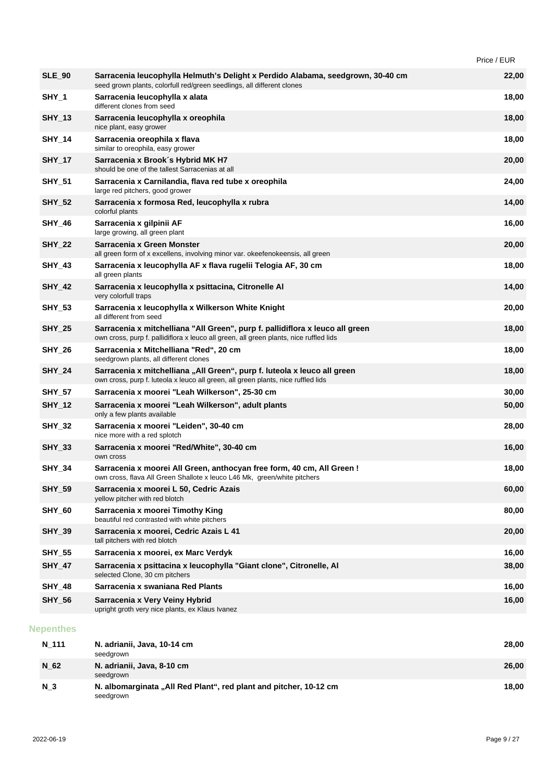| Price / EUR |
|-------------|
|-------------|

| <b>SLE 90</b>    | Sarracenia leucophylla Helmuth's Delight x Perdido Alabama, seedgrown, 30-40 cm<br>seed grown plants, colorfull red/green seedlings, all different clones               | 22,00 |
|------------------|-------------------------------------------------------------------------------------------------------------------------------------------------------------------------|-------|
| SHY_1            | Sarracenia leucophylla x alata<br>different clones from seed                                                                                                            | 18,00 |
| <b>SHY_13</b>    | Sarracenia leucophylla x oreophila<br>nice plant, easy grower                                                                                                           | 18,00 |
| <b>SHY_14</b>    | Sarracenia oreophila x flava<br>similar to oreophila, easy grower                                                                                                       | 18,00 |
| <b>SHY_17</b>    | Sarracenia x Brook's Hybrid MK H7<br>should be one of the tallest Sarracenias at all                                                                                    | 20,00 |
| <b>SHY_51</b>    | Sarracenia x Carnilandia, flava red tube x oreophila<br>large red pitchers, good grower                                                                                 | 24,00 |
| <b>SHY_52</b>    | Sarracenia x formosa Red, leucophylla x rubra<br>colorful plants                                                                                                        | 14,00 |
| <b>SHY_46</b>    | Sarracenia x gilpinii AF<br>large growing, all green plant                                                                                                              | 16,00 |
| <b>SHY_22</b>    | Sarracenia x Green Monster<br>all green form of x excellens, involving minor var. okeefenokeensis, all green                                                            | 20,00 |
| <b>SHY_43</b>    | Sarracenia x leucophylla AF x flava rugelii Telogia AF, 30 cm<br>all green plants                                                                                       | 18,00 |
| <b>SHY_42</b>    | Sarracenia x leucophylla x psittacina, Citronelle Al<br>very colorfull traps                                                                                            | 14,00 |
| <b>SHY_53</b>    | Sarracenia x leucophylla x Wilkerson White Knight<br>all different from seed                                                                                            | 20,00 |
| <b>SHY_25</b>    | Sarracenia x mitchelliana "All Green", purp f. pallidiflora x leuco all green<br>own cross, purp f. pallidiflora x leuco all green, all green plants, nice ruffled lids | 18,00 |
| <b>SHY_26</b>    | Sarracenia x Mitchelliana "Red", 20 cm<br>seedgrown plants, all different clones                                                                                        | 18,00 |
| <b>SHY_24</b>    | Sarracenia x mitchelliana "All Green", purp f. luteola x leuco all green<br>own cross, purp f. luteola x leuco all green, all green plants, nice ruffled lids           | 18,00 |
| <b>SHY_57</b>    | Sarracenia x moorei "Leah Wilkerson", 25-30 cm                                                                                                                          | 30,00 |
| <b>SHY_12</b>    | Sarracenia x moorei "Leah Wilkerson", adult plants<br>only a few plants available                                                                                       | 50,00 |
| <b>SHY_32</b>    | Sarracenia x moorei "Leiden", 30-40 cm<br>nice more with a red splotch                                                                                                  | 28,00 |
| <b>SHY_33</b>    | Sarracenia x moorei "Red/White", 30-40 cm<br>own cross                                                                                                                  | 16,00 |
| <b>SHY_34</b>    | Sarracenia x moorei All Green, anthocyan free form, 40 cm, All Green !<br>own cross, flava All Green Shallote x leuco L46 Mk, green/white pitchers                      | 18,00 |
| <b>SHY_59</b>    | Sarracenia x moorei L 50, Cedric Azais<br>yellow pitcher with red blotch                                                                                                | 60,00 |
| <b>SHY_60</b>    | Sarracenia x moorei Timothy King<br>beautiful red contrasted with white pitchers                                                                                        | 80,00 |
| <b>SHY_39</b>    | Sarracenia x moorei, Cedric Azais L 41<br>tall pitchers with red blotch                                                                                                 | 20,00 |
| <b>SHY_55</b>    | Sarracenia x moorei, ex Marc Verdyk                                                                                                                                     | 16,00 |
| <b>SHY_47</b>    | Sarracenia x psittacina x leucophylla "Giant clone", Citronelle, Al<br>selected Clone, 30 cm pitchers                                                                   | 38,00 |
| <b>SHY_48</b>    | Sarracenia x swaniana Red Plants                                                                                                                                        | 16,00 |
| <b>SHY_56</b>    | Sarracenia x Very Veiny Hybrid<br>upright groth very nice plants, ex Klaus Ivanez                                                                                       | 16,00 |
| <b>Nepenthes</b> |                                                                                                                                                                         |       |
|                  |                                                                                                                                                                         |       |

| N 111          | N. adrianii, Java, 10-14 cm<br>seedgrown                                       | 28.00 |
|----------------|--------------------------------------------------------------------------------|-------|
| N 62           | N. adrianii, Java, 8-10 cm<br>seedgrown                                        | 26,00 |
| N <sub>3</sub> | N. albomarginata "All Red Plant", red plant and pitcher, 10-12 cm<br>seedgrown | 18.00 |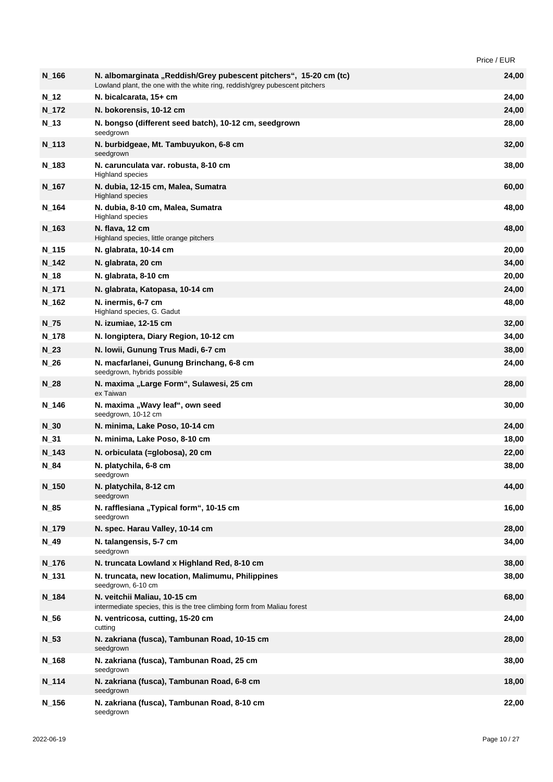Price / EUR

| $N_{166}$          | N. albomarginata "Reddish/Grey pubescent pitchers", 15-20 cm (tc)<br>Lowland plant, the one with the white ring, reddish/grey pubescent pitchers | 24,00 |
|--------------------|--------------------------------------------------------------------------------------------------------------------------------------------------|-------|
| $N_{-}12$          | N. bicalcarata, 15+ cm                                                                                                                           | 24,00 |
| $N_{172}$          | N. bokorensis, 10-12 cm                                                                                                                          | 24,00 |
| N 13               | N. bongso (different seed batch), 10-12 cm, seedgrown<br>seedgrown                                                                               | 28,00 |
| N <sub>_113</sub>  | N. burbidgeae, Mt. Tambuyukon, 6-8 cm<br>seedgrown                                                                                               | 32,00 |
| N <sub>_1</sub> 83 | N. carunculata var. robusta, 8-10 cm<br><b>Highland species</b>                                                                                  | 38,00 |
| N <sub>_167</sub>  | N. dubia, 12-15 cm, Malea, Sumatra<br><b>Highland species</b>                                                                                    | 60,00 |
| N_164              | N. dubia, 8-10 cm, Malea, Sumatra<br><b>Highland species</b>                                                                                     | 48,00 |
| $N_{163}$          | N. flava, 12 cm<br>Highland species, little orange pitchers                                                                                      | 48,00 |
| $N_{115}$          | N. glabrata, 10-14 cm                                                                                                                            | 20,00 |
| $N_{142}$          | N. glabrata, 20 cm                                                                                                                               | 34,00 |
| $N_{.18}$          | N. glabrata, 8-10 cm                                                                                                                             | 20,00 |
| $N_{171}$          | N. glabrata, Katopasa, 10-14 cm                                                                                                                  | 24,00 |
| N_162              | N. inermis, 6-7 cm<br>Highland species, G. Gadut                                                                                                 | 48,00 |
| $N_{Z}$ 75         | N. izumiae, 12-15 cm                                                                                                                             | 32,00 |
| $N_{178}$          | N. longiptera, Diary Region, 10-12 cm                                                                                                            | 34,00 |
| $N_{23}$           | N. Iowii, Gunung Trus Madi, 6-7 cm                                                                                                               | 38,00 |
| $N_{26}$           | N. macfarlanei, Gunung Brinchang, 6-8 cm<br>seedgrown, hybrids possible                                                                          | 24,00 |
| $N_28$             | N. maxima "Large Form", Sulawesi, 25 cm<br>ex Taiwan                                                                                             | 28,00 |
| N <sub>_146</sub>  | N. maxima "Wavy leaf", own seed<br>seedgrown, 10-12 cm                                                                                           | 30,00 |
| $N_{30}$           | N. minima, Lake Poso, 10-14 cm                                                                                                                   | 24,00 |
| $N_31$             | N. minima, Lake Poso, 8-10 cm                                                                                                                    | 18,00 |
| $N_{143}$          | N. orbiculata (=globosa), 20 cm                                                                                                                  | 22,00 |
| $N_{.}84$          | N. platychila, 6-8 cm<br>seedgrown                                                                                                               | 38,00 |
| $N_{150}$          | N. platychila, 8-12 cm<br>seedgrown                                                                                                              | 44,00 |
| $N_85$             | N. rafflesiana "Typical form", 10-15 cm<br>seedgrown                                                                                             | 16,00 |
| $N_{179}$          | N. spec. Harau Valley, 10-14 cm                                                                                                                  | 28,00 |
| $N_{.49}$          | N. talangensis, 5-7 cm<br>seedgrown                                                                                                              | 34,00 |
| $N_{176}$          | N. truncata Lowland x Highland Red, 8-10 cm                                                                                                      | 38,00 |
| $N_{131}$          | N. truncata, new location, Malimumu, Philippines<br>seedgrown, 6-10 cm                                                                           | 38,00 |
| N_184              | N. veitchii Maliau, 10-15 cm<br>intermediate species, this is the tree climbing form from Maliau forest                                          | 68,00 |
| $N_{56}$           | N. ventricosa, cutting, 15-20 cm<br>cutting                                                                                                      | 24,00 |
| $N_{53}$           | N. zakriana (fusca), Tambunan Road, 10-15 cm<br>seedgrown                                                                                        | 28,00 |
| $N_{168}$          | N. zakriana (fusca), Tambunan Road, 25 cm<br>seedgrown                                                                                           | 38,00 |
| $N_{114}$          | N. zakriana (fusca), Tambunan Road, 6-8 cm<br>seedgrown                                                                                          | 18,00 |
| $N_{156}$          | N. zakriana (fusca), Tambunan Road, 8-10 cm<br>seedgrown                                                                                         | 22,00 |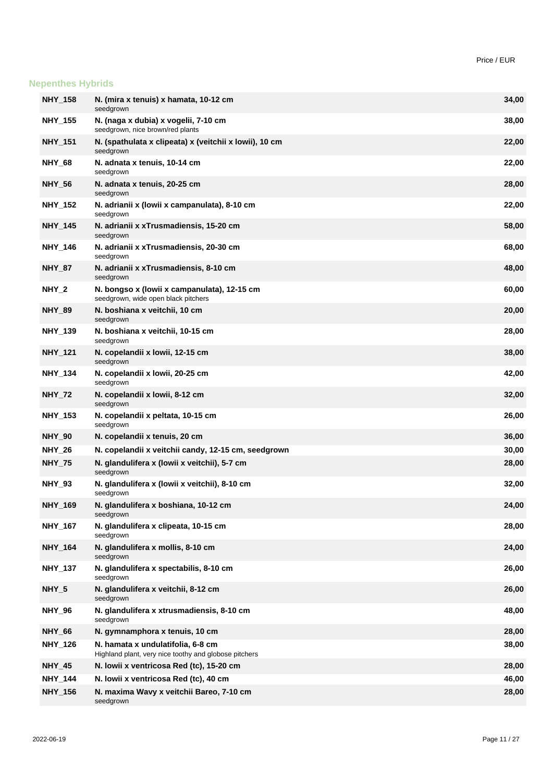# **Nepenthes Hybrids**

| <b>NHY_158</b>   | N. (mira x tenuis) x hamata, 10-12 cm                                                      | 34,00 |
|------------------|--------------------------------------------------------------------------------------------|-------|
| <b>NHY_155</b>   | seedgrown<br>N. (naga x dubia) x vogelii, 7-10 cm                                          | 38,00 |
| <b>NHY_151</b>   | seedgrown, nice brown/red plants<br>N. (spathulata x clipeata) x (veitchii x lowii), 10 cm | 22,00 |
|                  | seedgrown                                                                                  |       |
| <b>NHY 68</b>    | N. adnata x tenuis, 10-14 cm<br>seedgrown                                                  | 22,00 |
| <b>NHY_56</b>    | N. adnata x tenuis, 20-25 cm<br>seedgrown                                                  | 28,00 |
| <b>NHY_152</b>   | N. adrianii x (lowii x campanulata), 8-10 cm<br>seedgrown                                  | 22,00 |
| <b>NHY 145</b>   | N. adrianii x xTrusmadiensis, 15-20 cm<br>seedgrown                                        | 58,00 |
| <b>NHY_146</b>   | N. adrianii x xTrusmadiensis, 20-30 cm<br>seedgrown                                        | 68,00 |
| <b>NHY 87</b>    | N. adrianii x xTrusmadiensis, 8-10 cm<br>seedgrown                                         | 48,00 |
| NHY <sub>2</sub> | N. bongso x (lowii x campanulata), 12-15 cm<br>seedgrown, wide open black pitchers         | 60,00 |
| <b>NHY 89</b>    | N. boshiana x veitchii, 10 cm<br>seedgrown                                                 | 20,00 |
| <b>NHY_139</b>   | N. boshiana x veitchii, 10-15 cm<br>seedgrown                                              | 28,00 |
| <b>NHY 121</b>   | N. copelandii x Iowii, 12-15 cm<br>seedgrown                                               | 38,00 |
| <b>NHY_134</b>   | N. copelandii x Iowii, 20-25 cm<br>seedgrown                                               | 42,00 |
| <b>NHY_72</b>    | N. copelandii x Iowii, 8-12 cm<br>seedgrown                                                | 32,00 |
| <b>NHY_153</b>   | N. copelandii x peltata, 10-15 cm<br>seedgrown                                             | 26,00 |
| <b>NHY_90</b>    | N. copelandii x tenuis, 20 cm                                                              | 36,00 |
| <b>NHY_26</b>    | N. copelandii x veitchii candy, 12-15 cm, seedgrown                                        | 30,00 |
| <b>NHY_75</b>    | N. glandulifera x (lowii x veitchii), 5-7 cm<br>seedgrown                                  | 28,00 |
| <b>NHY 93</b>    | N. glandulifera x (lowii x veitchii), 8-10 cm<br>seedgrown                                 | 32,00 |
| NHY_169          | N. glandulifera x boshiana, 10-12 cm<br>seedgrown                                          | 24,00 |
| <b>NHY_167</b>   | N. glandulifera x clipeata, 10-15 cm<br>seedgrown                                          | 28,00 |
| <b>NHY_164</b>   | N. glandulifera x mollis, 8-10 cm<br>seedgrown                                             | 24,00 |
| <b>NHY_137</b>   | N. glandulifera x spectabilis, 8-10 cm<br>seedgrown                                        | 26,00 |
| NHY_5            | N. glandulifera x veitchii, 8-12 cm<br>seedgrown                                           | 26,00 |
| <b>NHY_96</b>    | N. glandulifera x xtrusmadiensis, 8-10 cm<br>seedgrown                                     | 48,00 |
| <b>NHY_66</b>    | N. gymnamphora x tenuis, 10 cm                                                             | 28,00 |
| <b>NHY_126</b>   | N. hamata x undulatifolia, 6-8 cm<br>Highland plant, very nice toothy and globose pitchers | 38,00 |
| <b>NHY_45</b>    | N. Iowii x ventricosa Red (tc), 15-20 cm                                                   | 28,00 |
| <b>NHY_144</b>   | N. Iowii x ventricosa Red (tc), 40 cm                                                      | 46,00 |
| <b>NHY_156</b>   | N. maxima Wavy x veitchii Bareo, 7-10 cm<br>seedgrown                                      | 28,00 |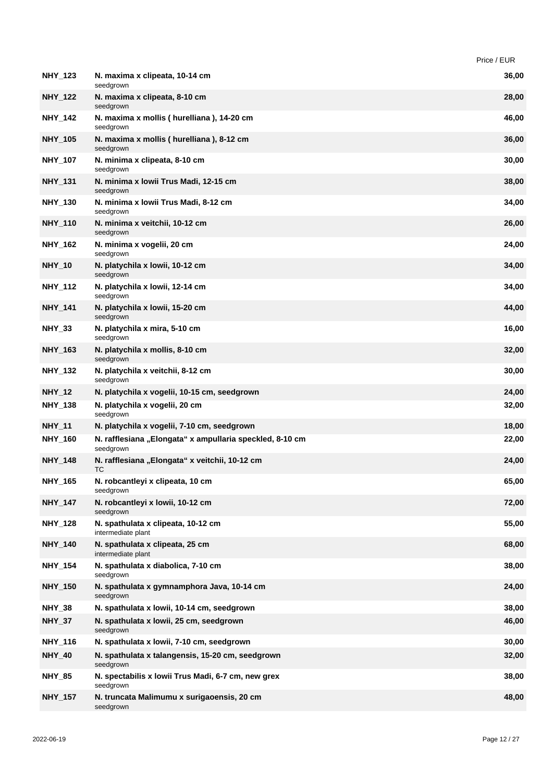|                |                                                                       | Price / EUR |
|----------------|-----------------------------------------------------------------------|-------------|
| <b>NHY_123</b> | N. maxima x clipeata, 10-14 cm<br>seedgrown                           | 36,00       |
| <b>NHY_122</b> | N. maxima x clipeata, 8-10 cm<br>seedgrown                            | 28,00       |
| <b>NHY_142</b> | N. maxima x mollis (hurelliana), 14-20 cm<br>seedgrown                | 46,00       |
| <b>NHY_105</b> | N. maxima x mollis (hurelliana), 8-12 cm<br>seedgrown                 | 36,00       |
| <b>NHY_107</b> | N. minima x clipeata, 8-10 cm<br>seedgrown                            | 30,00       |
| <b>NHY_131</b> | N. minima x Iowii Trus Madi, 12-15 cm<br>seedgrown                    | 38,00       |
| <b>NHY_130</b> | N. minima x Iowii Trus Madi, 8-12 cm<br>seedgrown                     | 34,00       |
| <b>NHY_110</b> | N. minima x veitchii, 10-12 cm<br>seedgrown                           | 26,00       |
| <b>NHY_162</b> | N. minima x vogelii, 20 cm<br>seedgrown                               | 24,00       |
| <b>NHY_10</b>  | N. platychila x lowii, 10-12 cm<br>seedgrown                          | 34,00       |
| NHY_112        | N. platychila x Iowii, 12-14 cm<br>seedgrown                          | 34,00       |
| <b>NHY_141</b> | N. platychila x lowii, 15-20 cm<br>seedgrown                          | 44,00       |
| <b>NHY_33</b>  | N. platychila x mira, 5-10 cm<br>seedgrown                            | 16,00       |
| <b>NHY_163</b> | N. platychila x mollis, 8-10 cm<br>seedgrown                          | 32,00       |
| <b>NHY_132</b> | N. platychila x veitchii, 8-12 cm<br>seedgrown                        | 30,00       |
| <b>NHY_12</b>  | N. platychila x vogelii, 10-15 cm, seedgrown                          | 24,00       |
| <b>NHY_138</b> | N. platychila x vogelii, 20 cm<br>seedgrown                           | 32,00       |
| <b>NHY_11</b>  | N. platychila x vogelii, 7-10 cm, seedgrown                           | 18,00       |
| <b>NHY 160</b> | N. rafflesiana "Elongata" x ampullaria speckled, 8-10 cm<br>seedgrown | 22,00       |
| <b>NHY 148</b> | N. rafflesiana "Elongata" x veitchii, 10-12 cm                        | 24,00       |
| <b>NHY 165</b> | N. robcantleyi x clipeata, 10 cm<br>seedgrown                         | 65,00       |
| <b>NHY_147</b> | N. robcantleyi x lowii, 10-12 cm<br>seedgrown                         | 72,00       |
| <b>NHY_128</b> | N. spathulata x clipeata, 10-12 cm<br>intermediate plant              | 55,00       |
| <b>NHY_140</b> | N. spathulata x clipeata, 25 cm<br>intermediate plant                 | 68,00       |
| <b>NHY_154</b> | N. spathulata x diabolica, 7-10 cm<br>seedgrown                       | 38,00       |
| <b>NHY_150</b> | N. spathulata x gymnamphora Java, 10-14 cm<br>seedgrown               | 24,00       |
| <b>NHY_38</b>  | N. spathulata x lowii, 10-14 cm, seedgrown                            | 38,00       |
| <b>NHY_37</b>  | N. spathulata x Iowii, 25 cm, seedgrown<br>seedgrown                  | 46,00       |
| <b>NHY_116</b> | N. spathulata x lowii, 7-10 cm, seedgrown                             | 30,00       |
| <b>NHY_40</b>  | N. spathulata x talangensis, 15-20 cm, seedgrown<br>seedgrown         | 32,00       |
| <b>NHY_85</b>  | N. spectabilis x lowii Trus Madi, 6-7 cm, new grex<br>seedgrown       | 38,00       |
| <b>NHY_157</b> | N. truncata Malimumu x surigaoensis, 20 cm<br>seedgrown               | 48,00       |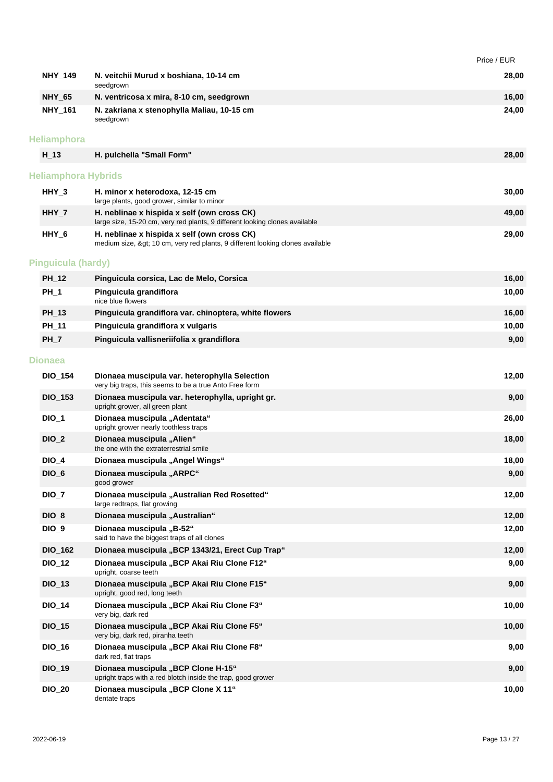|                            |                                                                                                                            | Price / EUR |
|----------------------------|----------------------------------------------------------------------------------------------------------------------------|-------------|
| <b>NHY_149</b>             | N. veitchii Murud x boshiana, 10-14 cm<br>seedgrown                                                                        | 28,00       |
| <b>NHY_65</b>              | N. ventricosa x mira, 8-10 cm, seedgrown                                                                                   | 16,00       |
| <b>NHY_161</b>             | N. zakriana x stenophylla Maliau, 10-15 cm<br>seedgrown                                                                    | 24,00       |
| <b>Heliamphora</b>         |                                                                                                                            |             |
| $H_1$ 13                   | H. pulchella "Small Form"                                                                                                  | 28,00       |
| <b>Heliamphora Hybrids</b> |                                                                                                                            |             |
| $HHY_3$                    | H. minor x heterodoxa, 12-15 cm<br>large plants, good grower, similar to minor                                             | 30,00       |
| $HHY_7$                    | H. neblinae x hispida x self (own cross CK)<br>large size, 15-20 cm, very red plants, 9 different looking clones available | 49,00       |
| HHY_6                      | H. neblinae x hispida x self (own cross CK)<br>medium size, > 10 cm, very red plants, 9 different looking clones available | 29,00       |
| <b>Pinguicula (hardy)</b>  |                                                                                                                            |             |
| <b>PH_12</b>               | Pinguicula corsica, Lac de Melo, Corsica                                                                                   | 16,00       |
| $PH_1$                     | Pinguicula grandiflora<br>nice blue flowers                                                                                | 10,00       |
| PH_13                      | Pinguicula grandiflora var. chinoptera, white flowers                                                                      | 16,00       |
| PH_11                      | Pinguicula grandiflora x vulgaris                                                                                          | 10,00       |
| $PH_7$                     | Pinguicula vallisneriifolia x grandiflora                                                                                  | 9,00        |
| <b>Dionaea</b>             |                                                                                                                            |             |
| <b>DIO_154</b>             | Dionaea muscipula var. heterophylla Selection<br>very big traps, this seems to be a true Anto Free form                    | 12,00       |
| <b>DIO_153</b>             | Dionaea muscipula var. heterophylla, upright gr.<br>upright grower, all green plant                                        | 9,00        |
| $DIO_1$                    | Dionaea muscipula "Adentata"<br>upright grower nearly toothless traps                                                      | 26,00       |
| $DIO_2$                    | Dionaea muscipula "Alien"<br>the one with the extraterrestrial smile                                                       | 18,00       |
| <b>DIO_4</b>               | Dionaea muscipula "Angel Wings"                                                                                            | 18,00       |
| $DIO_6$                    | Dionaea muscipula "ARPC"<br>good grower                                                                                    | 9,00        |
| $DIO_7$                    | Dionaea muscipula "Australian Red Rosetted"<br>large redtraps, flat growing                                                | 12,00       |
| $DIO_8$                    | Dionaea muscipula "Australian"                                                                                             | 12,00       |
| <b>DIO_9</b>               | Dionaea muscipula "B-52"<br>said to have the biggest traps of all clones                                                   | 12,00       |
| <b>DIO_162</b>             | Dionaea muscipula "BCP 1343/21, Erect Cup Trap"                                                                            | 12,00       |
| <b>DIO_12</b>              | Dionaea muscipula "BCP Akai Riu Clone F12"<br>upright, coarse teeth                                                        | 9,00        |
| $DIO_13$                   | Dionaea muscipula "BCP Akai Riu Clone F15"<br>upright, good red, long teeth                                                | 9,00        |
| <b>DIO_14</b>              | Dionaea muscipula "BCP Akai Riu Clone F3"<br>very big, dark red                                                            | 10,00       |
| $DIO_15$                   | Dionaea muscipula "BCP Akai Riu Clone F5"<br>very big, dark red, piranha teeth                                             | 10,00       |
| <b>DIO_16</b>              | Dionaea muscipula "BCP Akai Riu Clone F8"<br>dark red, flat traps                                                          | 9,00        |
| <b>DIO_19</b>              | Dionaea muscipula "BCP Clone H-15"<br>upright traps with a red blotch inside the trap, good grower                         | 9,00        |
| <b>DIO_20</b>              | Dionaea muscipula "BCP Clone X 11"<br>dentate traps                                                                        | 10,00       |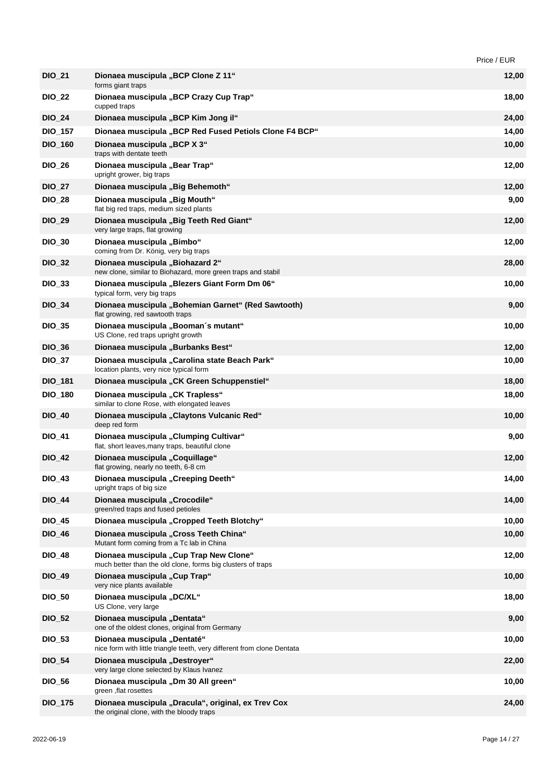|                |                                                                                                        | Price / EUR |
|----------------|--------------------------------------------------------------------------------------------------------|-------------|
| <b>DIO_21</b>  | Dionaea muscipula "BCP Clone Z 11"<br>forms giant traps                                                | 12,00       |
| <b>DIO_22</b>  | Dionaea muscipula "BCP Crazy Cup Trap"<br>cupped traps                                                 | 18,00       |
| <b>DIO 24</b>  | Dionaea muscipula "BCP Kim Jong il"                                                                    | 24,00       |
| <b>DIO_157</b> | Dionaea muscipula "BCP Red Fused Petiols Clone F4 BCP"                                                 | 14,00       |
| <b>DIO_160</b> | Dionaea muscipula "BCP X 3"<br>traps with dentate teeth                                                | 10,00       |
| <b>DIO_26</b>  | Dionaea muscipula "Bear Trap"<br>upright grower, big traps                                             | 12,00       |
| <b>DIO_27</b>  | Dionaea muscipula "Big Behemoth"                                                                       | 12,00       |
| <b>DIO_28</b>  | Dionaea muscipula "Big Mouth"<br>flat big red traps, medium sized plants                               | 9,00        |
| <b>DIO_29</b>  | Dionaea muscipula "Big Teeth Red Giant"<br>very large traps, flat growing                              | 12,00       |
| <b>DIO_30</b>  | Dionaea muscipula "Bimbo"<br>coming from Dr. König, very big traps                                     | 12,00       |
| <b>DIO_32</b>  | Dionaea muscipula "Biohazard 2"<br>new clone, similar to Biohazard, more green traps and stabil        | 28,00       |
| <b>DIO_33</b>  | Dionaea muscipula "Blezers Giant Form Dm 06"<br>typical form, very big traps                           | 10,00       |
| <b>DIO_34</b>  | Dionaea muscipula "Bohemian Garnet" (Red Sawtooth)<br>flat growing, red sawtooth traps                 | 9,00        |
| <b>DIO_35</b>  | Dionaea muscipula "Booman's mutant"<br>US Clone, red traps upright growth                              | 10,00       |
| <b>DIO_36</b>  | Dionaea muscipula "Burbanks Best"                                                                      | 12,00       |
| <b>DIO_37</b>  | Dionaea muscipula "Carolina state Beach Park"<br>location plants, very nice typical form               | 10,00       |
| <b>DIO_181</b> | Dionaea muscipula "CK Green Schuppenstiel"                                                             | 18,00       |
| <b>DIO_180</b> | Dionaea muscipula "CK Trapless"<br>similar to clone Rose, with elongated leaves                        | 18,00       |
| <b>DIO_40</b>  | Dionaea muscipula "Claytons Vulcanic Red"<br>deep red form                                             | 10,00       |
| <b>DIO_41</b>  | Dionaea muscipula "Clumping Cultivar"<br>flat, short leaves, many traps, beautiful clone               | 9,00        |
| <b>DIO_42</b>  | Dionaea muscipula "Coquillage"<br>flat growing, nearly no teeth, 6-8 cm                                | 12,00       |
| <b>DIO_43</b>  | Dionaea muscipula "Creeping Deeth"<br>upright traps of big size                                        | 14,00       |
| <b>DIO_44</b>  | Dionaea muscipula "Crocodile"<br>green/red traps and fused petioles                                    | 14,00       |
| <b>DIO_45</b>  | Dionaea muscipula "Cropped Teeth Blotchy"                                                              | 10,00       |
| <b>DIO_46</b>  | Dionaea muscipula "Cross Teeth China"<br>Mutant form coming from a Tc lab in China                     | 10,00       |
| <b>DIO_48</b>  | Dionaea muscipula "Cup Trap New Clone"<br>much better than the old clone, forms big clusters of traps  | 12,00       |
| <b>DIO_49</b>  | Dionaea muscipula "Cup Trap"<br>very nice plants available                                             | 10,00       |
| <b>DIO_50</b>  | Dionaea muscipula "DC/XL"<br>US Clone, very large                                                      | 18,00       |
| <b>DIO_52</b>  | Dionaea muscipula "Dentata"<br>one of the oldest clones, original from Germany                         | 9,00        |
| <b>DIO_53</b>  | Dionaea muscipula "Dentaté"<br>nice form with little triangle teeth, very different from clone Dentata | 10,00       |
| <b>DIO_54</b>  | Dionaea muscipula "Destroyer"<br>very large clone selected by Klaus Ivanez                             | 22,00       |
| <b>DIO_56</b>  | Dionaea muscipula "Dm 30 All green"<br>green ,flat rosettes                                            | 10,00       |
| <b>DIO_175</b> | Dionaea muscipula "Dracula", original, ex Trev Cox<br>the original clone, with the bloody traps        | 24,00       |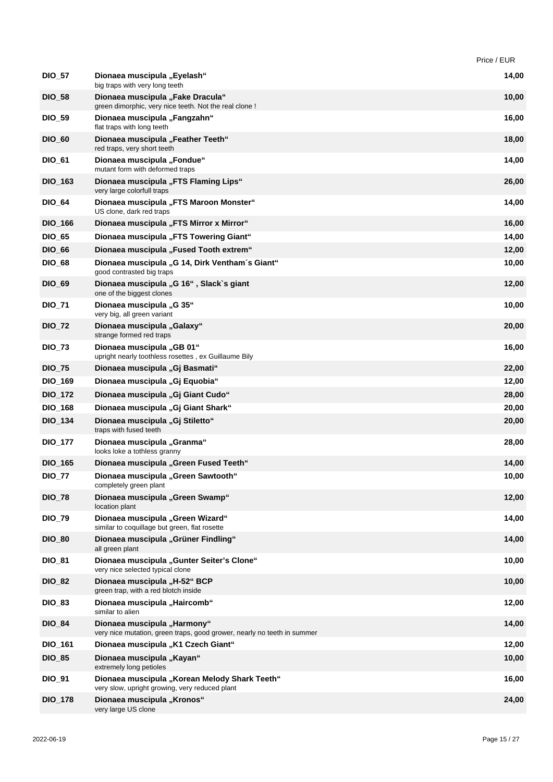|                |                                                                                                        | Price / EUR |
|----------------|--------------------------------------------------------------------------------------------------------|-------------|
| <b>DIO_57</b>  | Dionaea muscipula "Eyelash"<br>big traps with very long teeth                                          | 14,00       |
| <b>DIO_58</b>  | Dionaea muscipula "Fake Dracula"<br>green dimorphic, very nice teeth. Not the real clone !             | 10,00       |
| <b>DIO_59</b>  | Dionaea muscipula "Fangzahn"<br>flat traps with long teeth                                             | 16,00       |
| <b>DIO_60</b>  | Dionaea muscipula "Feather Teeth"<br>red traps, very short teeth                                       | 18,00       |
| <b>DIO_61</b>  | Dionaea muscipula "Fondue"<br>mutant form with deformed traps                                          | 14,00       |
| <b>DIO_163</b> | Dionaea muscipula "FTS Flaming Lips"<br>very large colorfull traps                                     | 26,00       |
| <b>DIO_64</b>  | Dionaea muscipula "FTS Maroon Monster"<br>US clone, dark red traps                                     | 14,00       |
| <b>DIO_166</b> | Dionaea muscipula "FTS Mirror x Mirror"                                                                | 16,00       |
| <b>DIO_65</b>  | Dionaea muscipula "FTS Towering Giant"                                                                 | 14,00       |
| <b>DIO_66</b>  | Dionaea muscipula "Fused Tooth extrem"                                                                 | 12,00       |
| <b>DIO_68</b>  | Dionaea muscipula "G 14, Dirk Ventham's Giant"<br>good contrasted big traps                            | 10,00       |
| <b>DIO_69</b>  | Dionaea muscipula "G 16", Slack`s giant<br>one of the biggest clones                                   | 12,00       |
| <b>DIO_71</b>  | Dionaea muscipula "G 35"<br>very big, all green variant                                                | 10,00       |
| <b>DIO_72</b>  | Dionaea muscipula "Galaxy"<br>strange formed red traps                                                 | 20,00       |
| <b>DIO_73</b>  | Dionaea muscipula "GB 01"<br>upright nearly toothless rosettes, ex Guillaume Bily                      | 16,00       |
| <b>DIO_75</b>  | Dionaea muscipula "Gj Basmati"                                                                         | 22,00       |
| <b>DIO_169</b> | Dionaea muscipula "Gj Equobia"                                                                         | 12,00       |
| <b>DIO_172</b> | Dionaea muscipula "Gj Giant Cudo"                                                                      | 28,00       |
| <b>DIO_168</b> | Dionaea muscipula "Gj Giant Shark"                                                                     | 20,00       |
| <b>DIO_134</b> | Dionaea muscipula "Gj Stiletto"<br>traps with fused teeth                                              | 20,00       |
| <b>DIO_177</b> | Dionaea muscipula "Granma"<br>looks loke a tothless granny                                             | 28,00       |
| <b>DIO_165</b> | Dionaea muscipula "Green Fused Teeth"                                                                  | 14,00       |
| <b>DIO 77</b>  | Dionaea muscipula "Green Sawtooth"<br>completely green plant                                           | 10,00       |
| <b>DIO_78</b>  | Dionaea muscipula "Green Swamp"<br>location plant                                                      | 12,00       |
| <b>DIO_79</b>  | Dionaea muscipula "Green Wizard"<br>similar to coquillage but green, flat rosette                      | 14,00       |
| <b>DIO_80</b>  | Dionaea muscipula "Grüner Findling"<br>all green plant                                                 | 14,00       |
| <b>DIO_81</b>  | Dionaea muscipula "Gunter Seiter's Clone"<br>very nice selected typical clone                          | 10,00       |
| <b>DIO_82</b>  | Dionaea muscipula "H-52" BCP<br>green trap, with a red blotch inside                                   | 10,00       |
| <b>DIO_83</b>  | Dionaea muscipula "Haircomb"<br>similar to alien                                                       | 12,00       |
| <b>DIO_84</b>  | Dionaea muscipula "Harmony"<br>very nice mutation, green traps, good grower, nearly no teeth in summer | 14,00       |
| <b>DIO_161</b> | Dionaea muscipula "K1 Czech Giant"                                                                     | 12,00       |
| <b>DIO_85</b>  | Dionaea muscipula "Kayan"                                                                              | 10,00       |
| <b>DIO_91</b>  | extremely long petioles<br>Dionaea muscipula "Korean Melody Shark Teeth"                               | 16,00       |
| <b>DIO_178</b> | very slow, upright growing, very reduced plant<br>Dionaea muscipula "Kronos"                           | 24,00       |
|                | very large US clone                                                                                    |             |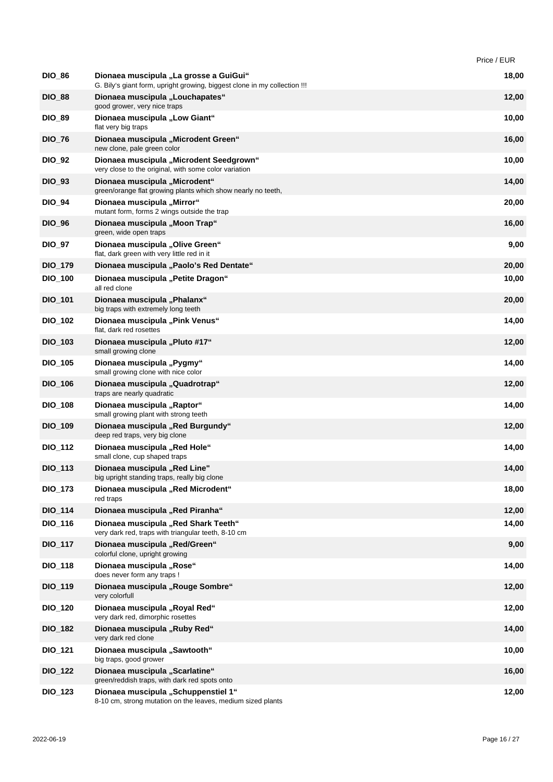|                |                                                                                                                     | Price / EUR |
|----------------|---------------------------------------------------------------------------------------------------------------------|-------------|
| <b>DIO_86</b>  | Dionaea muscipula "La grosse a GuiGui"<br>G. Bily's giant form, upright growing, biggest clone in my collection !!! | 18,00       |
| <b>DIO_88</b>  | Dionaea muscipula "Louchapates"<br>good grower, very nice traps                                                     | 12,00       |
| <b>DIO 89</b>  | Dionaea muscipula "Low Giant"<br>flat very big traps                                                                | 10,00       |
| <b>DIO_76</b>  | Dionaea muscipula "Microdent Green"<br>new clone, pale green color                                                  | 16,00       |
| <b>DIO_92</b>  | Dionaea muscipula "Microdent Seedgrown"<br>very close to the original, with some color variation                    | 10,00       |
| <b>DIO_93</b>  | Dionaea muscipula "Microdent"<br>green/orange flat growing plants which show nearly no teeth,                       | 14,00       |
| <b>DIO_94</b>  | Dionaea muscipula "Mirror"<br>mutant form, forms 2 wings outside the trap                                           | 20,00       |
| <b>DIO_96</b>  | Dionaea muscipula "Moon Trap"<br>green, wide open traps                                                             | 16,00       |
| <b>DIO_97</b>  | Dionaea muscipula "Olive Green"<br>flat, dark green with very little red in it                                      | 9,00        |
| <b>DIO_179</b> | Dionaea muscipula "Paolo's Red Dentate"                                                                             | 20,00       |
| <b>DIO_100</b> | Dionaea muscipula "Petite Dragon"<br>all red clone                                                                  | 10,00       |
| <b>DIO_101</b> | Dionaea muscipula "Phalanx"<br>big traps with extremely long teeth                                                  | 20,00       |
| <b>DIO_102</b> | Dionaea muscipula "Pink Venus"<br>flat, dark red rosettes                                                           | 14,00       |
| <b>DIO_103</b> | Dionaea muscipula "Pluto #17"<br>small growing clone                                                                | 12,00       |
| <b>DIO_105</b> | Dionaea muscipula "Pygmy"<br>small growing clone with nice color                                                    | 14,00       |
| <b>DIO_106</b> | Dionaea muscipula "Quadrotrap"<br>traps are nearly quadratic                                                        | 12,00       |
| <b>DIO_108</b> | Dionaea muscipula "Raptor"<br>small growing plant with strong teeth                                                 | 14,00       |
| <b>DIO 109</b> | Dionaea muscipula "Red Burgundy"<br>deep red traps, very big clone                                                  | 12,00       |
| <b>DIO_112</b> | Dionaea muscipula "Red Hole"<br>small clone, cup shaped traps                                                       | 14,00       |
| DIO_113        | Dionaea muscipula "Red Line"<br>big upright standing traps, really big clone                                        | 14,00       |
| <b>DIO_173</b> | Dionaea muscipula "Red Microdent"<br>red traps                                                                      | 18,00       |
| <b>DIO_114</b> | Dionaea muscipula "Red Piranha"                                                                                     | 12,00       |
| <b>DIO 116</b> | Dionaea muscipula "Red Shark Teeth"<br>very dark red, traps with triangular teeth, 8-10 cm                          | 14,00       |
| <b>DIO_117</b> | Dionaea muscipula "Red/Green"<br>colorful clone, upright growing                                                    | 9,00        |
| <b>DIO_118</b> | Dionaea muscipula "Rose"<br>does never form any traps !                                                             | 14,00       |
| <b>DIO_119</b> | Dionaea muscipula "Rouge Sombre"<br>very colorfull                                                                  | 12,00       |
| <b>DIO_120</b> | Dionaea muscipula "Royal Red"<br>very dark red, dimorphic rosettes                                                  | 12,00       |
| <b>DIO_182</b> | Dionaea muscipula "Ruby Red"<br>very dark red clone                                                                 | 14,00       |
| <b>DIO_121</b> | Dionaea muscipula "Sawtooth"<br>big traps, good grower                                                              | 10,00       |
| <b>DIO_122</b> | Dionaea muscipula "Scarlatine"<br>green/reddish traps, with dark red spots onto                                     | 16,00       |
| <b>DIO_123</b> | Dionaea muscipula "Schuppenstiel 1"<br>8-10 cm, strong mutation on the leaves, medium sized plants                  | 12,00       |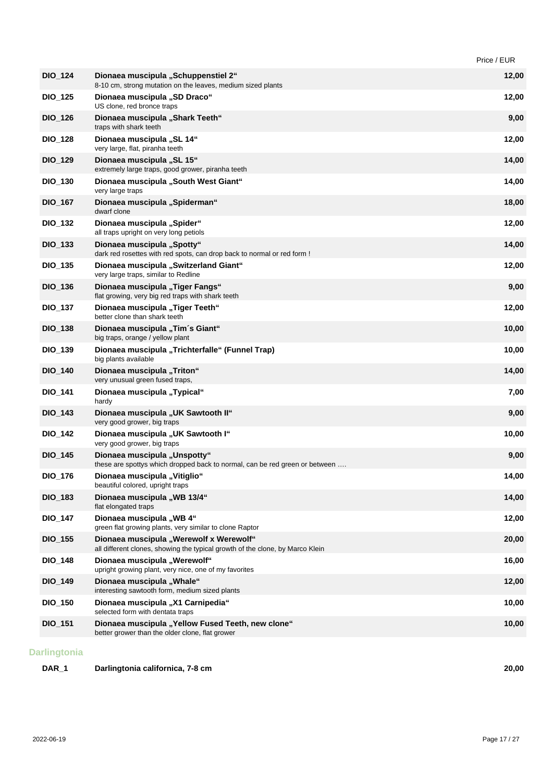|                |                                                                                                                          | Price / EUR |
|----------------|--------------------------------------------------------------------------------------------------------------------------|-------------|
| <b>DIO_124</b> | Dionaea muscipula "Schuppenstiel 2"<br>8-10 cm, strong mutation on the leaves, medium sized plants                       | 12,00       |
| <b>DIO_125</b> | Dionaea muscipula "SD Draco"<br>US clone, red bronce traps                                                               | 12,00       |
| <b>DIO_126</b> | Dionaea muscipula "Shark Teeth"<br>traps with shark teeth                                                                | 9,00        |
| <b>DIO_128</b> | Dionaea muscipula "SL 14"<br>very large, flat, piranha teeth                                                             | 12,00       |
| <b>DIO_129</b> | Dionaea muscipula "SL 15"<br>extremely large traps, good grower, piranha teeth                                           | 14,00       |
| <b>DIO_130</b> | Dionaea muscipula "South West Giant"<br>very large traps                                                                 | 14,00       |
| <b>DIO_167</b> | Dionaea muscipula "Spiderman"<br>dwarf clone                                                                             | 18,00       |
| <b>DIO_132</b> | Dionaea muscipula "Spider"<br>all traps upright on very long petiols                                                     | 12,00       |
| <b>DIO_133</b> | Dionaea muscipula "Spotty"<br>dark red rosettes with red spots, can drop back to normal or red form !                    | 14,00       |
| <b>DIO_135</b> | Dionaea muscipula "Switzerland Giant"<br>very large traps, similar to Redline                                            | 12,00       |
| <b>DIO_136</b> | Dionaea muscipula "Tiger Fangs"<br>flat growing, very big red traps with shark teeth                                     | 9,00        |
| <b>DIO_137</b> | Dionaea muscipula "Tiger Teeth"<br>better clone than shark teeth                                                         | 12,00       |
| <b>DIO_138</b> | Dionaea muscipula "Tim's Giant"<br>big traps, orange / yellow plant                                                      | 10,00       |
| <b>DIO_139</b> | Dionaea muscipula "Trichterfalle" (Funnel Trap)<br>big plants available                                                  | 10,00       |
| <b>DIO_140</b> | Dionaea muscipula "Triton"<br>very unusual green fused traps,                                                            | 14,00       |
| <b>DIO_141</b> | Dionaea muscipula "Typical"<br>hardy                                                                                     | 7,00        |
| <b>DIO_143</b> | Dionaea muscipula "UK Sawtooth II"<br>very good grower, big traps                                                        | 9,00        |
| <b>DIO_142</b> | Dionaea muscipula "UK Sawtooth I"<br>very good grower, big traps                                                         | 10,00       |
| <b>DIO_145</b> | Dionaea muscipula "Unspotty"<br>these are spottys which dropped back to normal, can be red green or between              | 9,00        |
| <b>DIO_176</b> | Dionaea muscipula "Vitiglio"<br>beautiful colored, upright traps                                                         | 14,00       |
| <b>DIO_183</b> | Dionaea muscipula "WB 13/4"<br>flat elongated traps                                                                      | 14,00       |
| <b>DIO_147</b> | Dionaea muscipula "WB 4"<br>green flat growing plants, very similar to clone Raptor                                      | 12,00       |
| <b>DIO_155</b> | Dionaea muscipula "Werewolf x Werewolf"<br>all different clones, showing the typical growth of the clone, by Marco Klein | 20,00       |
| <b>DIO_148</b> | Dionaea muscipula "Werewolf"<br>upright growing plant, very nice, one of my favorites                                    | 16,00       |
| <b>DIO_149</b> | Dionaea muscipula "Whale"<br>interesting sawtooth form, medium sized plants                                              | 12,00       |
| <b>DIO_150</b> | Dionaea muscipula "X1 Carnipedia"<br>selected form with dentata traps                                                    | 10,00       |
| <b>DIO_151</b> | Dionaea muscipula "Yellow Fused Teeth, new clone"<br>better grower than the older clone, flat grower                     | 10,00       |
|                |                                                                                                                          |             |

### **Darlingtonia**

| DAR_1 | Darlingtonia californica, 7-8 cm | 20,00 |
|-------|----------------------------------|-------|
|       |                                  |       |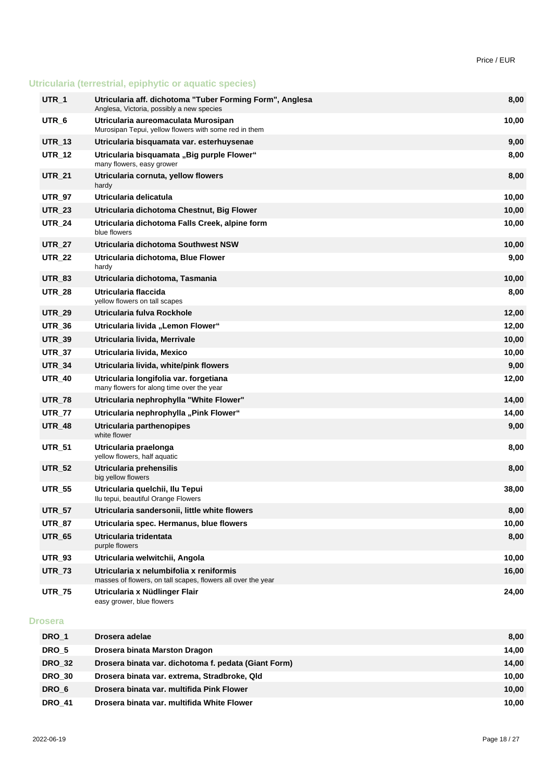# **Utricularia (terrestrial, epiphytic or aquatic species)**

| UTR_1         | Utricularia aff. dichotoma "Tuber Forming Form", Anglesa<br>Anglesa, Victoria, possibly a new species   | 8,00  |
|---------------|---------------------------------------------------------------------------------------------------------|-------|
| UTR_6         | Utricularia aureomaculata Murosipan<br>Murosipan Tepui, yellow flowers with some red in them            | 10,00 |
| <b>UTR_13</b> | Utricularia bisquamata var. esterhuysenae                                                               | 9,00  |
| <b>UTR_12</b> | Utricularia bisquamata "Big purple Flower"<br>many flowers, easy grower                                 | 8,00  |
| <b>UTR_21</b> | Utricularia cornuta, yellow flowers<br>hardy                                                            | 8,00  |
| <b>UTR_97</b> | Utricularia delicatula                                                                                  | 10,00 |
| <b>UTR_23</b> | Utricularia dichotoma Chestnut, Big Flower                                                              | 10,00 |
| <b>UTR 24</b> | Utricularia dichotoma Falls Creek, alpine form<br>blue flowers                                          | 10,00 |
| <b>UTR_27</b> | Utricularia dichotoma Southwest NSW                                                                     | 10,00 |
| <b>UTR_22</b> | Utricularia dichotoma, Blue Flower<br>hardy                                                             | 9,00  |
| <b>UTR_83</b> | Utricularia dichotoma, Tasmania                                                                         | 10,00 |
| <b>UTR_28</b> | Utricularia flaccida<br>yellow flowers on tall scapes                                                   | 8,00  |
| <b>UTR_29</b> | Utricularia fulva Rockhole                                                                              | 12,00 |
| <b>UTR_36</b> | Utricularia livida "Lemon Flower"                                                                       | 12,00 |
| <b>UTR_39</b> | Utricularia livida, Merrivale                                                                           | 10,00 |
| <b>UTR_37</b> | Utricularia livida, Mexico                                                                              | 10,00 |
| <b>UTR_34</b> | Utricularia livida, white/pink flowers                                                                  | 9,00  |
| <b>UTR_40</b> | Utricularia longifolia var. forgetiana<br>many flowers for along time over the year                     | 12,00 |
| <b>UTR_78</b> | Utricularia nephrophylla "White Flower"                                                                 | 14,00 |
| <b>UTR_77</b> | Utricularia nephrophylla "Pink Flower"                                                                  | 14,00 |
| <b>UTR_48</b> | Utricularia parthenopipes<br>white flower                                                               | 9,00  |
| <b>UTR_51</b> | Utricularia praelonga<br>yellow flowers, half aquatic                                                   | 8,00  |
| <b>UTR_52</b> | Utricularia prehensilis<br>big yellow flowers                                                           | 8,00  |
| <b>UTR_55</b> | Utricularia quelchii, Ilu Tepui<br>Ilu tepui, beautiful Orange Flowers                                  | 38,00 |
| <b>UTR_57</b> | Utricularia sandersonii, little white flowers                                                           | 8,00  |
| <b>UTR_87</b> | Utricularia spec. Hermanus, blue flowers                                                                | 10,00 |
| <b>UTR_65</b> | Utricularia tridentata<br>purple flowers                                                                | 8,00  |
| <b>UTR_93</b> | Utricularia welwitchii, Angola                                                                          | 10,00 |
| <b>UTR_73</b> | Utricularia x nelumbifolia x reniformis<br>masses of flowers, on tall scapes, flowers all over the year | 16,00 |
| <b>UTR_75</b> | Utricularia x Nüdlinger Flair<br>easy grower, blue flowers                                              | 24,00 |

#### **Drosera**

| DRO 1         | Drosera adelae                                       | 8,00  |
|---------------|------------------------------------------------------|-------|
|               |                                                      |       |
| DRO 5         | Drosera binata Marston Dragon                        | 14.00 |
| <b>DRO 32</b> | Drosera binata var. dichotoma f. pedata (Giant Form) | 14,00 |
| <b>DRO 30</b> | Drosera binata var. extrema, Stradbroke, Qld         | 10.00 |
| DRO 6         | Drosera binata var. multifida Pink Flower            | 10.00 |
| <b>DRO 41</b> | Drosera binata var. multifida White Flower           | 10.00 |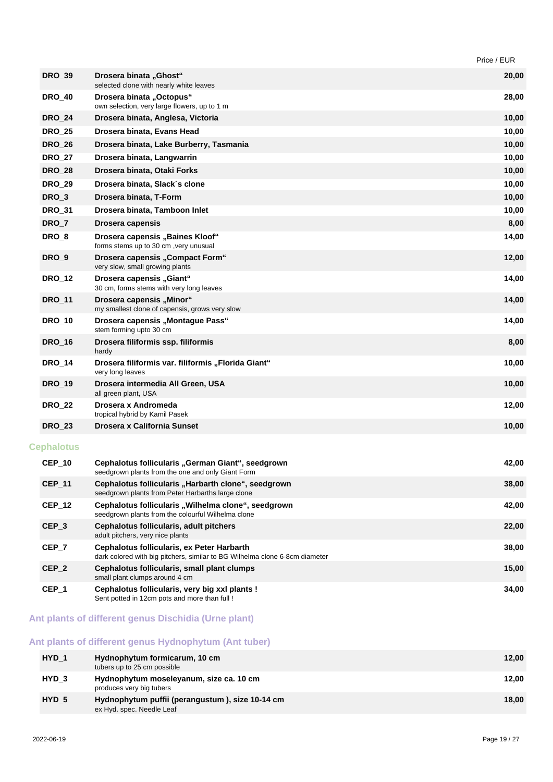|                   |                                                                                                                           | Price / EUR |
|-------------------|---------------------------------------------------------------------------------------------------------------------------|-------------|
| <b>DRO_39</b>     | Drosera binata "Ghost"<br>selected clone with nearly white leaves                                                         | 20,00       |
| <b>DRO_40</b>     | Drosera binata "Octopus"<br>own selection, very large flowers, up to 1 m                                                  | 28,00       |
| <b>DRO_24</b>     | Drosera binata, Anglesa, Victoria                                                                                         | 10,00       |
| <b>DRO_25</b>     | Drosera binata, Evans Head                                                                                                | 10,00       |
| <b>DRO_26</b>     | Drosera binata, Lake Burberry, Tasmania                                                                                   | 10,00       |
| <b>DRO_27</b>     | Drosera binata, Langwarrin                                                                                                | 10,00       |
| <b>DRO 28</b>     | Drosera binata, Otaki Forks                                                                                               | 10,00       |
| <b>DRO_29</b>     | Drosera binata, Slack's clone                                                                                             | 10,00       |
| DRO <sub>3</sub>  | Drosera binata, T-Form                                                                                                    | 10,00       |
| <b>DRO_31</b>     | Drosera binata, Tamboon Inlet                                                                                             | 10,00       |
| DRO <sub>_7</sub> | Drosera capensis                                                                                                          | 8,00        |
| DRO <sub>8</sub>  | Drosera capensis "Baines Kloof"<br>forms stems up to 30 cm, very unusual                                                  | 14,00       |
| DRO_9             | Drosera capensis "Compact Form"<br>very slow, small growing plants                                                        | 12,00       |
| <b>DRO 12</b>     | Drosera capensis "Giant"<br>30 cm, forms stems with very long leaves                                                      | 14,00       |
| <b>DRO_11</b>     | Drosera capensis "Minor"<br>my smallest clone of capensis, grows very slow                                                | 14,00       |
| <b>DRO_10</b>     | Drosera capensis "Montague Pass"<br>stem forming upto 30 cm                                                               | 14,00       |
| <b>DRO_16</b>     | Drosera filiformis ssp. filiformis<br>hardy                                                                               | 8,00        |
| <b>DRO_14</b>     | Drosera filiformis var. filiformis "Florida Giant"<br>very long leaves                                                    | 10,00       |
| <b>DRO_19</b>     | Drosera intermedia All Green, USA<br>all green plant, USA                                                                 | 10,00       |
| <b>DRO_22</b>     | Drosera x Andromeda<br>tropical hybrid by Kamil Pasek                                                                     | 12,00       |
| <b>DRO_23</b>     | Drosera x California Sunset                                                                                               | 10,00       |
| <b>Cephalotus</b> |                                                                                                                           |             |
| <b>CEP_10</b>     | Cephalotus follicularis "German Giant", seedgrown<br>seedgrown plants from the one and only Giant Form                    | 42,00       |
| <b>CEP_11</b>     | Cephalotus follicularis "Harbarth clone", seedgrown<br>seedgrown plants from Peter Harbarths large clone                  | 38,00       |
| <b>CEP_12</b>     | Cephalotus follicularis "Wilhelma clone", seedgrown<br>seedgrown plants from the colourful Wilhelma clone                 | 42,00       |
| CEP_3             | Cephalotus follicularis, adult pitchers<br>adult pitchers, very nice plants                                               | 22,00       |
| CEP_7             | Cephalotus follicularis, ex Peter Harbarth<br>dark colored with big pitchers, similar to BG Wilhelma clone 6-8cm diameter | 38,00       |
| CEP_2             | Cephalotus follicularis, small plant clumps<br>small plant clumps around 4 cm                                             | 15,00       |
| CEP_1             | Cephalotus follicularis, very big xxl plants !<br>Sent potted in 12cm pots and more than full !                           | 34,00       |
|                   |                                                                                                                           |             |

# **Ant plants of different genus Dischidia (Urne plant)**

# **Ant plants of different genus Hydnophytum (Ant tuber)**

| HYD <sub>1</sub> | Hydnophytum formicarum, 10 cm<br>tubers up to 25 cm possible                 | 12,00 |
|------------------|------------------------------------------------------------------------------|-------|
| HYD <sub>3</sub> | Hydnophytum moseleyanum, size ca. 10 cm<br>produces very big tubers          | 12.00 |
| HYD <sub>5</sub> | Hydnophytum puffii (perangustum), size 10-14 cm<br>ex Hyd. spec. Needle Leaf | 18,00 |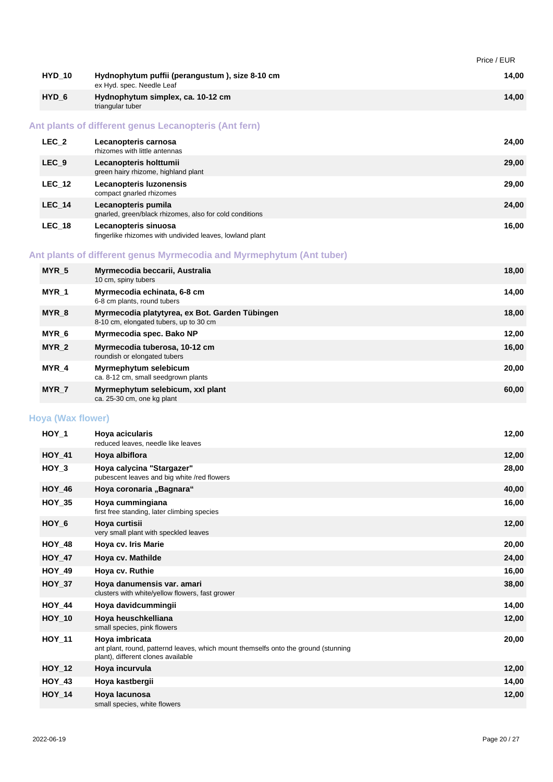|                          |                                                                                                                                            | Price / EUR |
|--------------------------|--------------------------------------------------------------------------------------------------------------------------------------------|-------------|
| <b>HYD_10</b>            | Hydnophytum puffii (perangustum), size 8-10 cm<br>ex Hyd. spec. Needle Leaf                                                                | 14,00       |
| HYD <sub>6</sub>         | Hydnophytum simplex, ca. 10-12 cm<br>triangular tuber                                                                                      | 14,00       |
|                          | Ant plants of different genus Lecanopteris (Ant fern)                                                                                      |             |
| $LEC_2$                  | Lecanopteris carnosa<br>rhizomes with little antennas                                                                                      | 24,00       |
| LEC <sub>9</sub>         | Lecanopteris holttumii<br>green hairy rhizome, highland plant                                                                              | 29,00       |
| <b>LEC_12</b>            | Lecanopteris luzonensis<br>compact gnarled rhizomes                                                                                        | 29,00       |
| $LEC_14$                 | Lecanopteris pumila<br>gnarled, green/black rhizomes, also for cold conditions                                                             | 24,00       |
| $LEC_18$                 | Lecanopteris sinuosa<br>fingerlike rhizomes with undivided leaves, lowland plant                                                           | 16,00       |
|                          | Ant plants of different genus Myrmecodia and Myrmephytum (Ant tuber)                                                                       |             |
| MYR_5                    | Myrmecodia beccarii, Australia<br>10 cm, spiny tubers                                                                                      | 18,00       |
| MYR_1                    | Myrmecodia echinata, 6-8 cm<br>6-8 cm plants, round tubers                                                                                 | 14,00       |
| MYR_8                    | Myrmecodia platytyrea, ex Bot. Garden Tübingen<br>8-10 cm, elongated tubers, up to 30 cm                                                   | 18,00       |
| MYR_6                    | Myrmecodia spec. Bako NP                                                                                                                   | 12,00       |
| MYR_2                    | Myrmecodia tuberosa, 10-12 cm<br>roundish or elongated tubers                                                                              | 16,00       |
| MYR_4                    | Myrmephytum selebicum<br>ca. 8-12 cm, small seedgrown plants                                                                               | 20,00       |
| MYR_7                    | Myrmephytum selebicum, xxl plant<br>ca. 25-30 cm, one kg plant                                                                             | 60,00       |
| <b>Hoya (Wax flower)</b> |                                                                                                                                            |             |
| $HOY_1$                  | Hoya acicularis<br>reduced leaves, needle like leaves                                                                                      | 12,00       |
| <b>HOY 41</b>            | Hoya albiflora                                                                                                                             | 12,00       |
| $HOY_3$                  | Hova calvcina "Stargazer"<br>pubescent leaves and big white /red flowers                                                                   | 28,00       |
| <b>HOY_46</b>            | Hoya coronaria "Bagnara"                                                                                                                   | 40,00       |
| $HOY_35$                 | Hoya cummingiana<br>first free standing, later climbing species                                                                            | 16,00       |
| $HOY_6$                  | Hoya curtisii<br>very small plant with speckled leaves                                                                                     | 12,00       |
| <b>HOY_48</b>            | Hoya cv. Iris Marie                                                                                                                        | 20,00       |
| $HOY_47$                 | Hoya cv. Mathilde                                                                                                                          | 24,00       |
| <b>HOY_49</b>            | Hoya cv. Ruthie                                                                                                                            | 16,00       |
| <b>HOY 37</b>            | Hoya danumensis var. amari<br>clusters with white/yellow flowers, fast grower                                                              | 38,00       |
| <b>HOY_44</b>            | Hoya davidcummingii                                                                                                                        | 14,00       |
| <b>HOY_10</b>            | Hoya heuschkelliana<br>small species, pink flowers                                                                                         | 12,00       |
| <b>HOY_11</b>            | Hoya imbricata<br>ant plant, round, patternd leaves, which mount themselfs onto the ground (stunning<br>plant), different clones available | 20,00       |
| <b>HOY_12</b>            | Hoya incurvula                                                                                                                             | 12,00       |
| HOY_43                   | Hoya kastbergii                                                                                                                            | 14,00       |
| $HOY_14$                 | Hoya lacunosa<br>small species, white flowers                                                                                              | 12,00       |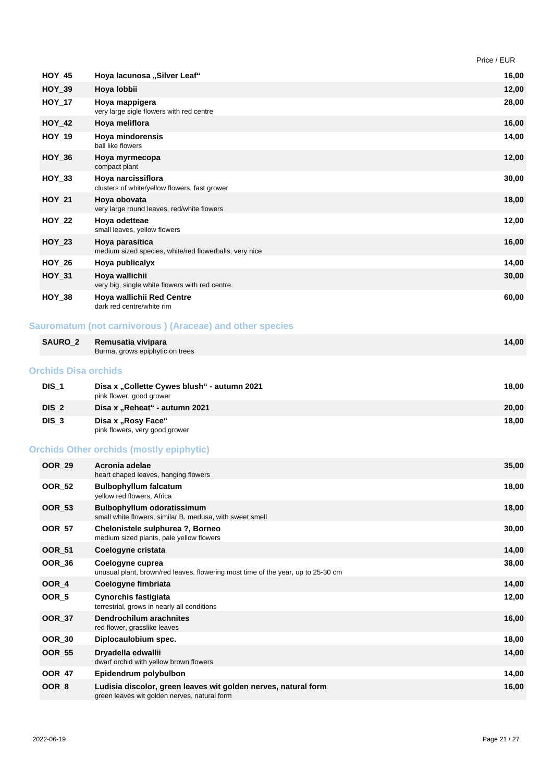|               |                                                                           | Price / EUR |
|---------------|---------------------------------------------------------------------------|-------------|
| $HOY_45$      | Hoya lacunosa "Silver Leaf"                                               | 16,00       |
| $HOY_39$      | Hoya lobbii                                                               | 12,00       |
| <b>HOY_17</b> | Hoya mappigera<br>very large sigle flowers with red centre                | 28,00       |
| <b>HOY_42</b> | Hoya meliflora                                                            | 16,00       |
| <b>HOY_19</b> | Hoya mindorensis<br>ball like flowers                                     | 14,00       |
| $HOY_36$      | Hoya myrmecopa<br>compact plant                                           | 12,00       |
| $HOY_33$      | Hoya narcissiflora<br>clusters of white/yellow flowers, fast grower       | 30,00       |
| <b>HOY 21</b> | Hoya obovata<br>very large round leaves, red/white flowers                | 18,00       |
| <b>HOY 22</b> | Hoya odetteae<br>small leaves, yellow flowers                             | 12,00       |
| <b>HOY 23</b> | Hoya parasitica<br>medium sized species, white/red flowerballs, very nice | 16,00       |
| $HOY_26$      | Hoya publicalyx                                                           | 14,00       |
| <b>HOY 31</b> | Hoya wallichii<br>very big, single white flowers with red centre          | 30,00       |
| $HOY_38$      | Hoya wallichii Red Centre<br>dark red centre/white rim                    | 60,00       |

# **Sauromatum (not carnivorous ) (Araceae) and other species**

| <b>SAURO 2</b>              | Remusatia vivipara<br>Burma, grows epiphytic on trees | 14.00 |
|-----------------------------|-------------------------------------------------------|-------|
| <b>Orchids Disa orchids</b> |                                                       |       |

| $DIS_1$          | Disa x "Collette Cywes blush" - autumn 2021<br>pink flower, good grower | 18.00 |
|------------------|-------------------------------------------------------------------------|-------|
| DIS <sub>2</sub> | Disa x "Reheat" - autumn 2021                                           | 20.00 |
| DIS <sub>3</sub> | Disa x "Rosy Face"<br>pink flowers, very good grower                    | 18.00 |

# **Orchids Other orchids (mostly epiphytic)**

| <b>OOR 29</b>    | Acronia adelae<br>heart chaped leaves, hanging flowers                                                         | 35,00 |
|------------------|----------------------------------------------------------------------------------------------------------------|-------|
| <b>OOR 52</b>    | <b>Bulbophyllum falcatum</b><br>yellow red flowers, Africa                                                     | 18,00 |
| <b>OOR 53</b>    | <b>Bulbophyllum odoratissimum</b><br>small white flowers, similar B. medusa, with sweet smell                  | 18,00 |
| <b>OOR 57</b>    | Chelonistele sulphurea ?, Borneo<br>medium sized plants, pale yellow flowers                                   | 30,00 |
| <b>OOR_51</b>    | Coelogyne cristata                                                                                             | 14,00 |
| <b>OOR 36</b>    | Coelogyne cuprea<br>unusual plant, brown/red leaves, flowering most time of the year, up to 25-30 cm           | 38,00 |
| OOR 4            | Coelogyne fimbriata                                                                                            | 14,00 |
| OOR <sub>5</sub> | <b>Cynorchis fastigiata</b><br>terrestrial, grows in nearly all conditions                                     | 12,00 |
| <b>OOR_37</b>    | Dendrochilum arachnites<br>red flower, grasslike leaves                                                        | 16,00 |
| <b>OOR 30</b>    | Diplocaulobium spec.                                                                                           | 18,00 |
| <b>OOR_55</b>    | Dryadella edwallii<br>dwarf orchid with yellow brown flowers                                                   | 14,00 |
| <b>OOR 47</b>    | Epidendrum polybulbon                                                                                          | 14,00 |
| OOR <sub>8</sub> | Ludisia discolor, green leaves wit golden nerves, natural form<br>green leaves wit golden nerves, natural form | 16,00 |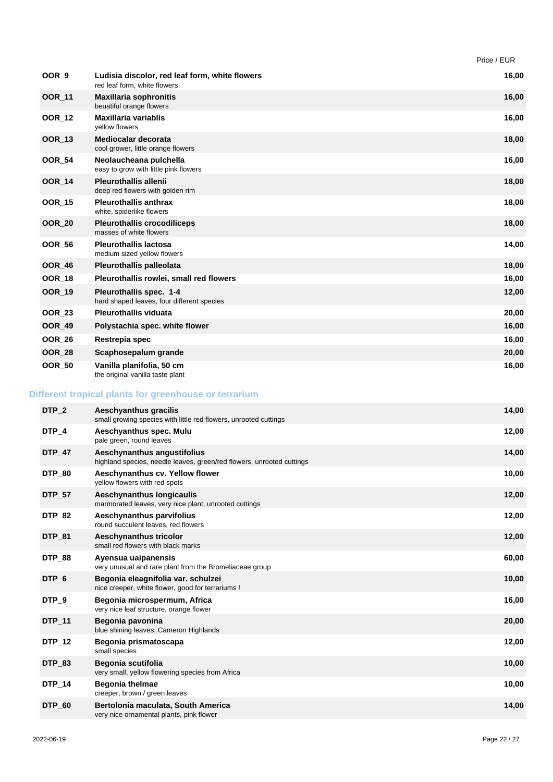|               |                                                                                | Price / EUR |
|---------------|--------------------------------------------------------------------------------|-------------|
| OOR_9         | Ludisia discolor, red leaf form, white flowers<br>red leaf form, white flowers | 16,00       |
| <b>OOR_11</b> | <b>Maxillaria sophronitis</b><br>beuatiful orange flowers                      | 16,00       |
| <b>OOR_12</b> | Maxillaria variablis<br>vellow flowers                                         | 16,00       |
| <b>OOR_13</b> | Mediocalar decorata<br>cool grower, little orange flowers                      | 18,00       |
| <b>OOR_54</b> | Neolaucheana pulchella<br>easy to grow with little pink flowers                | 16,00       |
| <b>OOR_14</b> | <b>Pleurothallis allenii</b><br>deep red flowers with golden rim               | 18,00       |
| <b>OOR 15</b> | <b>Pleurothallis anthrax</b><br>white, spiderlike flowers                      | 18,00       |
| <b>OOR 20</b> | <b>Pleurothallis crocodiliceps</b><br>masses of white flowers                  | 18,00       |
| <b>OOR 56</b> | <b>Pleurothallis lactosa</b><br>medium sized yellow flowers                    | 14,00       |
| <b>OOR_46</b> | <b>Pleurothallis palleolata</b>                                                | 18,00       |
| <b>OOR_18</b> | Pleurothallis rowlei, small red flowers                                        | 16,00       |
| <b>OOR_19</b> | Pleurothallis spec. 1-4<br>hard shaped leaves, four different species          | 12,00       |
| <b>OOR_23</b> | <b>Pleurothallis viduata</b>                                                   | 20,00       |
| <b>OOR_49</b> | Polystachia spec. white flower                                                 | 16,00       |
| <b>OOR_26</b> | Restrepia spec                                                                 | 16,00       |
| <b>OOR_28</b> | Scaphosepalum grande                                                           | 20,00       |
| <b>OOR 50</b> | Vanilla planifolia, 50 cm<br>the original vanilla taste plant                  | 16,00       |

# **Different tropical plants for greenhouse or terrarium**

| DTP <sub>2</sub> | Aeschyanthus gracilis<br>small growing species with little red flowers, unrooted cuttings            | 14,00 |
|------------------|------------------------------------------------------------------------------------------------------|-------|
| DTP 4            | Aeschyanthus spec. Mulu<br>pale green, round leaves                                                  | 12,00 |
| <b>DTP 47</b>    | Aeschynanthus angustifolius<br>highland species, needle leaves, green/red flowers, unrooted cuttings | 14,00 |
| <b>DTP 80</b>    | Aeschynanthus cv. Yellow flower<br>yellow flowers with red spots                                     | 10,00 |
| <b>DTP 57</b>    | Aeschynanthus longicaulis<br>marmorated leaves, very nice plant, unrooted cuttings                   | 12,00 |
| <b>DTP 82</b>    | Aeschynanthus parvifolius<br>round succulent leaves, red flowers                                     | 12,00 |
| <b>DTP 81</b>    | Aeschynanthus tricolor<br>small red flowers with black marks                                         | 12,00 |
| <b>DTP_88</b>    | Ayensua uaipanensis<br>very unusual and rare plant from the Bromeliaceae group                       | 60,00 |
| DTP 6            | Begonia eleagnifolia var. schulzei<br>nice creeper, white flower, good for terrariums !              | 10,00 |
| DTP <sub>9</sub> | Begonia microspermum, Africa<br>very nice leaf structure, orange flower                              | 16,00 |
| <b>DTP 11</b>    | Begonia pavonina<br>blue shining leaves, Cameron Highlands                                           | 20,00 |
| DTP_12           | Begonia prismatoscapa<br>small species                                                               | 12,00 |
| <b>DTP 83</b>    | Begonia scutifolia<br>very small, yellow flowering species from Africa                               | 10,00 |
| <b>DTP_14</b>    | <b>Begonia thelmae</b><br>creeper, brown / green leaves                                              | 10,00 |
| DTP_60           | Bertolonia maculata, South America<br>very nice ornamental plants, pink flower                       | 14,00 |
|                  |                                                                                                      |       |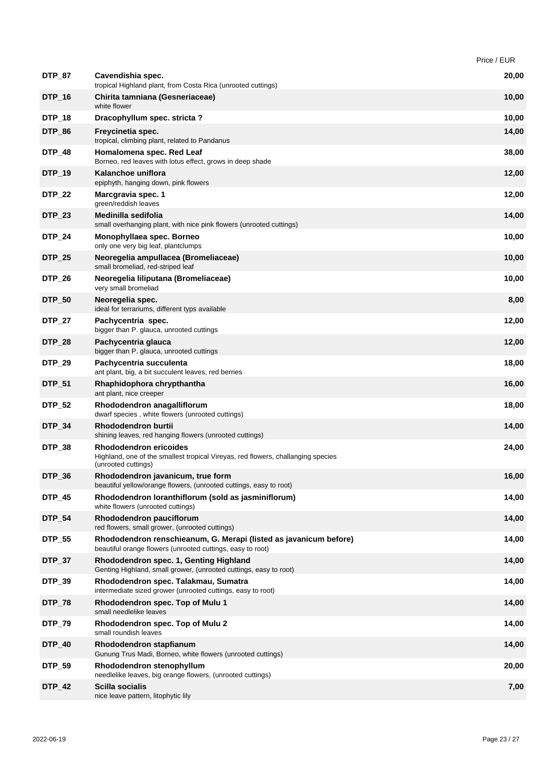|               |                                                                                                                                   | Price / EUR |
|---------------|-----------------------------------------------------------------------------------------------------------------------------------|-------------|
| <b>DTP_87</b> | Cavendishia spec.<br>tropical Highland plant, from Costa Rica (unrooted cuttings)                                                 | 20,00       |
| DTP_16        | Chirita tamniana (Gesneriaceae)<br>white flower                                                                                   | 10,00       |
| DTP_18        | Dracophyllum spec. stricta?                                                                                                       | 10,00       |
| <b>DTP_86</b> | Freycinetia spec.<br>tropical, climbing plant, related to Pandanus                                                                | 14,00       |
| <b>DTP_48</b> | Homalomena spec. Red Leaf<br>Borneo, red leaves with lotus effect, grows in deep shade                                            | 38,00       |
| <b>DTP_19</b> | Kalanchoe uniflora<br>epiphyth, hanging down, pink flowers                                                                        | 12,00       |
| <b>DTP_22</b> | Marcgravia spec. 1<br>green/reddish leaves                                                                                        | 12,00       |
| <b>DTP_23</b> | Medinilla sedifolia<br>small overhanging plant, with nice pink flowers (unrooted cuttings)                                        | 14,00       |
| DTP_24        | Monophyllaea spec. Borneo<br>only one very big leaf, plantclumps                                                                  | 10,00       |
| <b>DTP_25</b> | Neoregelia ampullacea (Bromeliaceae)<br>small bromeliad, red-striped leaf                                                         | 10,00       |
| <b>DTP_26</b> | Neoregelia liliputana (Bromeliaceae)<br>very small bromeliad                                                                      | 10,00       |
| <b>DTP_50</b> | Neoregelia spec.<br>ideal for terrariums, different typs available                                                                | 8,00        |
| DTP_27        | Pachycentria spec.<br>bigger than P. glauca, unrooted cuttings                                                                    | 12,00       |
| <b>DTP_28</b> | Pachycentria glauca<br>bigger than P. glauca, unrooted cuttings                                                                   | 12,00       |
| <b>DTP_29</b> | Pachycentria succulenta<br>ant plant, big, a bit succulent leaves, red berries                                                    | 18,00       |
| DTP_51        | Rhaphidophora chrypthantha<br>ant plant, nice creeper                                                                             | 16,00       |
| <b>DTP_52</b> | Rhododendron anagalliflorum<br>dwarf species, white flowers (unrooted cuttings)                                                   | 18,00       |
| <b>DTP_34</b> | <b>Rhododendron burtii</b><br>shining leaves, red hanging flowers (unrooted cuttings)                                             | 14,00       |
| <b>DTP_38</b> | Rhododendron ericoides<br>Highland, one of the smallest tropical Vireyas, red flowers, challanging species<br>(unrooted cuttings) | 24,00       |
| DTP_36        | Rhododendron javanicum, true form<br>beautiful yellow/orange flowers, (unrooted cuttings, easy to root)                           | 16,00       |
| <b>DTP_45</b> | Rhododendron loranthiflorum (sold as jasminiflorum)<br>white flowers (unrooted cuttings)                                          | 14,00       |
| <b>DTP_54</b> | Rhododendron pauciflorum<br>red flowers, small grower, (unrooted cuttings)                                                        | 14,00       |
| <b>DTP_55</b> | Rhododendron renschieanum, G. Merapi (listed as javanicum before)<br>beautiful orange flowers (unrooted cuttings, easy to root)   | 14,00       |
| <b>DTP_37</b> | Rhododendron spec. 1, Genting Highland<br>Genting Highland, small grower, (unrooted cuttings, easy to root)                       | 14,00       |
| <b>DTP_39</b> | Rhododendron spec. Talakmau, Sumatra<br>intermediate sized grower (unrooted cuttings, easy to root)                               | 14,00       |
| <b>DTP_78</b> | Rhododendron spec. Top of Mulu 1<br>small needlelike leaves                                                                       | 14,00       |
| <b>DTP_79</b> | Rhododendron spec. Top of Mulu 2<br>small roundish leaves                                                                         | 14,00       |
| <b>DTP_40</b> | Rhododendron stapfianum<br>Gunung Trus Madi, Borneo, white flowers (unrooted cuttings)                                            | 14,00       |
| <b>DTP_59</b> | Rhododendron stenophyllum<br>needlelike leaves, big orange flowers, (unrooted cuttings)                                           | 20,00       |
| <b>DTP_42</b> | Scilla socialis<br>nice leave pattern, litophytic lily                                                                            | 7,00        |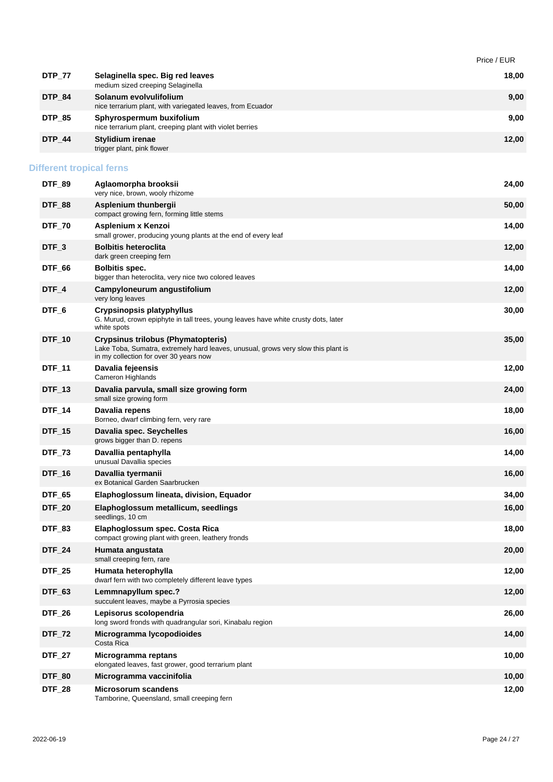|                                 |                                                                                                                                                                   | Price / EUR |
|---------------------------------|-------------------------------------------------------------------------------------------------------------------------------------------------------------------|-------------|
| <b>DTP_77</b>                   | Selaginella spec. Big red leaves<br>medium sized creeping Selaginella                                                                                             | 18,00       |
| DTP_84                          | Solanum evolvulifolium<br>nice terrarium plant, with variegated leaves, from Ecuador                                                                              | 9,00        |
| <b>DTP_85</b>                   | Sphyrospermum buxifolium<br>nice terrarium plant, creeping plant with violet berries                                                                              | 9,00        |
| <b>DTP_44</b>                   | <b>Stylidium irenae</b><br>trigger plant, pink flower                                                                                                             | 12,00       |
| <b>Different tropical ferns</b> |                                                                                                                                                                   |             |
| DTF_89                          | Aglaomorpha brooksii<br>very nice, brown, wooly rhizome                                                                                                           | 24,00       |
| DTF_88                          | Asplenium thunbergii<br>compact growing fern, forming little stems                                                                                                | 50,00       |
| <b>DTF_70</b>                   | Asplenium x Kenzoi<br>small grower, producing young plants at the end of every leaf                                                                               | 14,00       |
| DTF_3                           | <b>Bolbitis heteroclita</b><br>dark green creeping fern                                                                                                           | 12,00       |
| DTF_66                          | <b>Bolbitis spec.</b><br>bigger than heteroclita, very nice two colored leaves                                                                                    | 14,00       |
| DTF_4                           | Campyloneurum angustifolium<br>very long leaves                                                                                                                   | 12,00       |
| DTF_6                           | Crypsinopsis platyphyllus<br>G. Murud, crown epiphyte in tall trees, young leaves have white crusty dots, later<br>white spots                                    | 30,00       |
| <b>DTF_10</b>                   | Crypsinus trilobus (Phymatopteris)<br>Lake Toba, Sumatra, extremely hard leaves, unusual, grows very slow this plant is<br>in my collection for over 30 years now | 35,00       |
| DTF_11                          | Davalia fejeensis<br>Cameron Highlands                                                                                                                            | 12,00       |
| <b>DTF_13</b>                   | Davalia parvula, small size growing form<br>small size growing form                                                                                               | 24,00       |
| <b>DTF_14</b>                   | Davalia repens<br>Borneo, dwarf climbing fern, very rare                                                                                                          | 18,00       |
| <b>DTF_15</b>                   | Davalia spec. Seychelles<br>grows bigger than D. repens                                                                                                           | 16,00       |
| <b>DTF_73</b>                   | Davallia pentaphylla<br>unusual Davallia species                                                                                                                  | 14,00       |
| $DTF_16$                        | Davallia tyermanii<br>ex Botanical Garden Saarbrucken                                                                                                             | 16,00       |
| DTF_65                          | Elaphoglossum lineata, division, Equador                                                                                                                          | 34,00       |
| <b>DTF_20</b>                   | Elaphoglossum metallicum, seedlings<br>seedlings, 10 cm                                                                                                           | 16,00       |
| DTF_83                          | Elaphoglossum spec. Costa Rica<br>compact growing plant with green, leathery fronds                                                                               | 18,00       |
| <b>DTF_24</b>                   | Humata angustata<br>small creeping fern, rare                                                                                                                     | 20,00       |
| <b>DTF_25</b>                   | Humata heterophylla<br>dwarf fern with two completely different leave types                                                                                       | 12,00       |
| <b>DTF 63</b>                   | Lemmnapyllum spec.?<br>succulent leaves, maybe a Pyrrosia species                                                                                                 | 12,00       |
| <b>DTF_26</b>                   | Lepisorus scolopendria<br>long sword fronds with quadrangular sori, Kinabalu region                                                                               | 26,00       |
| <b>DTF_72</b>                   | Microgramma lycopodioides<br>Costa Rica                                                                                                                           | 14,00       |
| <b>DTF_27</b>                   | Microgramma reptans<br>elongated leaves, fast grower, good terrarium plant                                                                                        | 10,00       |
| <b>DTF_80</b>                   | Microgramma vaccinifolia                                                                                                                                          | 10,00       |
| <b>DTF_28</b>                   | <b>Microsorum scandens</b><br>Tamborine, Queensland, small creeping fern                                                                                          | 12,00       |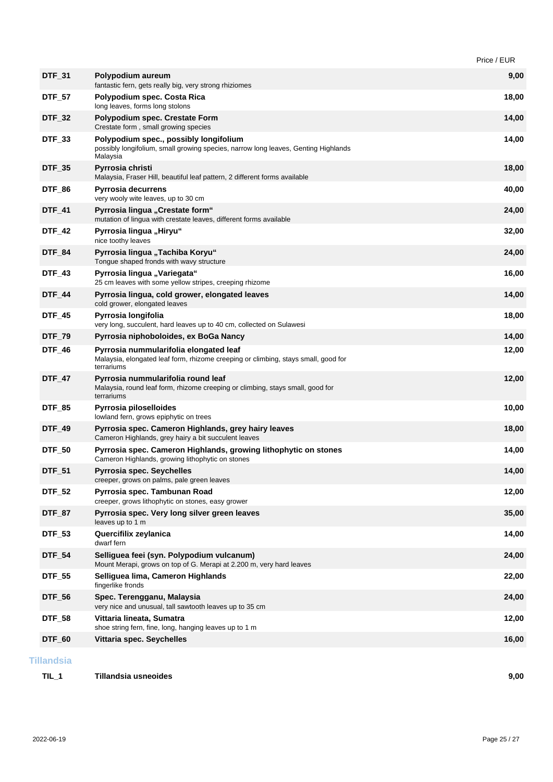|               |                                                                                                                                            | Price / EUR |
|---------------|--------------------------------------------------------------------------------------------------------------------------------------------|-------------|
| <b>DTF_31</b> | Polypodium aureum<br>fantastic fern, gets really big, very strong rhiziomes                                                                | 9,00        |
| <b>DTF_57</b> | Polypodium spec. Costa Rica<br>long leaves, forms long stolons                                                                             | 18,00       |
| <b>DTF_32</b> | Polypodium spec. Crestate Form<br>Crestate form, small growing species                                                                     | 14,00       |
| DTF_33        | Polypodium spec., possibly longifolium<br>possibly longifolium, small growing species, narrow long leaves, Genting Highlands<br>Malaysia   | 14,00       |
| <b>DTF_35</b> | Pyrrosia christi<br>Malaysia, Fraser Hill, beautiful leaf pattern, 2 different forms available                                             | 18,00       |
| <b>DTF 86</b> | Pyrrosia decurrens<br>very wooly wite leaves, up to 30 cm                                                                                  | 40,00       |
| <b>DTF_41</b> | Pyrrosia lingua "Crestate form"<br>mutation of lingua with crestate leaves, different forms available                                      | 24,00       |
| <b>DTF_42</b> | Pyrrosia lingua "Hiryu"<br>nice toothy leaves                                                                                              | 32,00       |
| <b>DTF_84</b> | Pyrrosia lingua "Tachiba Koryu"<br>Tongue shaped fronds with wavy structure                                                                | 24,00       |
| <b>DTF_43</b> | Pyrrosia lingua "Variegata"<br>25 cm leaves with some yellow stripes, creeping rhizome                                                     | 16,00       |
| <b>DTF_44</b> | Pyrrosia lingua, cold grower, elongated leaves<br>cold grower, elongated leaves                                                            | 14,00       |
| <b>DTF_45</b> | Pyrrosia longifolia<br>very long, succulent, hard leaves up to 40 cm, collected on Sulawesi                                                | 18,00       |
| <b>DTF_79</b> | Pyrrosia niphoboloides, ex BoGa Nancy                                                                                                      | 14,00       |
| DTF_46        | Pyrrosia nummularifolia elongated leaf<br>Malaysia, elongated leaf form, rhizome creeping or climbing, stays small, good for<br>terrariums | 12,00       |
| <b>DTF_47</b> | Pyrrosia nummularifolia round leaf<br>Malaysia, round leaf form, rhizome creeping or climbing, stays small, good for<br>terrariums         | 12,00       |
| <b>DTF_85</b> | Pyrrosia piloselloides<br>lowland fern, grows epiphytic on trees                                                                           | 10,00       |
| <b>DTF_49</b> | Pyrrosia spec. Cameron Highlands, grey hairy leaves<br>Cameron Highlands, grey hairy a bit succulent leaves                                | 18,00       |
| <b>DTF_50</b> | Pyrrosia spec. Cameron Highlands, growing lithophytic on stones<br>Cameron Highlands, growing lithophytic on stones                        | 14,00       |
| <b>DTF_51</b> | Pyrrosia spec. Seychelles<br>creeper, grows on palms, pale green leaves                                                                    | 14,00       |
| <b>DTF_52</b> | Pyrrosia spec. Tambunan Road<br>creeper, grows lithophytic on stones, easy grower                                                          | 12,00       |
| DTF_87        | Pyrrosia spec. Very long silver green leaves<br>leaves up to 1 m                                                                           | 35,00       |
| <b>DTF_53</b> | Quercifilix zeylanica<br>dwarf fern                                                                                                        | 14,00       |
| <b>DTF_54</b> | Selliguea feei (syn. Polypodium vulcanum)<br>Mount Merapi, grows on top of G. Merapi at 2.200 m, very hard leaves                          | 24,00       |
| <b>DTF_55</b> | Selliguea lima, Cameron Highlands<br>fingerlike fronds                                                                                     | 22,00       |
| <b>DTF_56</b> | Spec. Terengganu, Malaysia<br>very nice and unusual, tall sawtooth leaves up to 35 cm                                                      | 24,00       |
| <b>DTF_58</b> | Vittaria lineata, Sumatra<br>shoe string fern, fine, long, hanging leaves up to 1 m                                                        | 12,00       |
|               |                                                                                                                                            | 16,00       |

**TIL\_1 Tillandsia usneoides 9,00**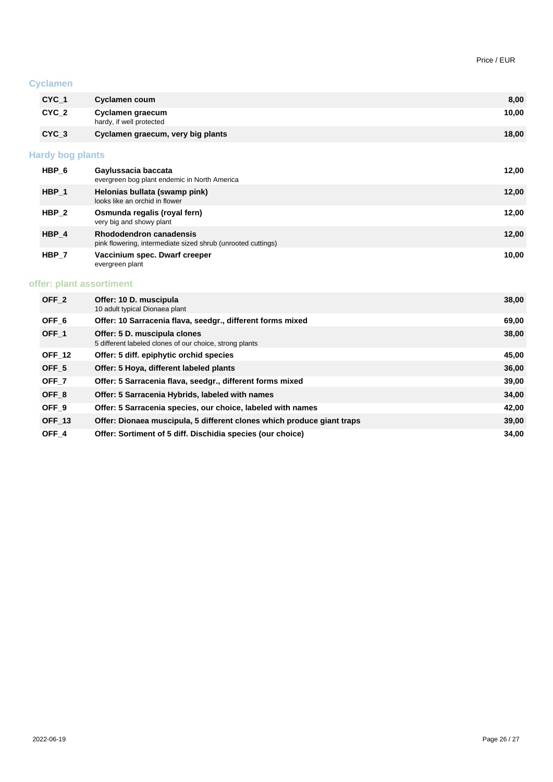#### **Cyclamen**

| $CYC_1$                 | Cyclamen coum                                | 8,00  |
|-------------------------|----------------------------------------------|-------|
| $CYC_2$                 | Cyclamen graecum<br>hardy, if well protected | 10,00 |
| CYC <sub>3</sub>        | Cyclamen graecum, very big plants            | 18,00 |
| <b>Hardy bog plants</b> |                                              |       |

| HBP 6            | Gaylussacia baccata<br>evergreen bog plant endemic in North America                            | 12,00 |
|------------------|------------------------------------------------------------------------------------------------|-------|
| HBP 1            | Helonias bullata (swamp pink)<br>looks like an orchid in flower                                | 12,00 |
| HBP <sub>2</sub> | Osmunda regalis (royal fern)<br>very big and showy plant                                       | 12,00 |
| HBP 4            | <b>Rhododendron canadensis</b><br>pink flowering, intermediate sized shrub (unrooted cuttings) | 12,00 |
| HBP 7            | Vaccinium spec. Dwarf creeper<br>evergreen plant                                               | 10,00 |

# **offer: plant assortiment**

| OFF <sub>2</sub> | Offer: 10 D. muscipula<br>10 adult typical Dionaea plant                                | 38,00 |
|------------------|-----------------------------------------------------------------------------------------|-------|
| OFF <sub>6</sub> | Offer: 10 Sarracenia flava, seedgr., different forms mixed                              | 69,00 |
| OFF <sub>1</sub> | Offer: 5 D. muscipula clones<br>5 different labeled clones of our choice, strong plants | 38,00 |
| <b>OFF 12</b>    | Offer: 5 diff. epiphytic orchid species                                                 | 45,00 |
| OFF <sub>5</sub> | Offer: 5 Hoya, different labeled plants                                                 | 36,00 |
| OFF <sub>7</sub> | Offer: 5 Sarracenia flava, seedgr., different forms mixed                               | 39,00 |
| OFF <sub>8</sub> | Offer: 5 Sarracenia Hybrids, labeled with names                                         | 34,00 |
| OFF <sub>9</sub> | Offer: 5 Sarracenia species, our choice, labeled with names                             | 42,00 |
| <b>OFF 13</b>    | Offer: Dionaea muscipula, 5 different clones which produce giant traps                  | 39,00 |
| OFF <sub>4</sub> | Offer: Sortiment of 5 diff. Dischidia species (our choice)                              | 34,00 |